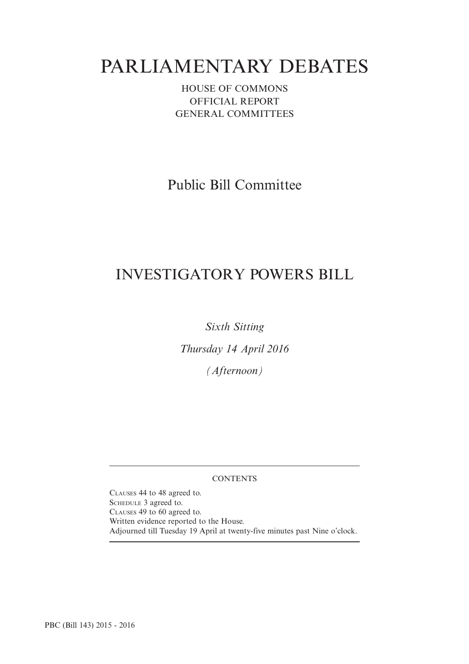# PARLIAMENTARY DEBATES

HOUSE OF COMMONS OFFICIAL REPORT GENERAL COMMITTEES

Public Bill Committee

## INVESTIGATORY POWERS BILL

*Sixth Sitting*

*Thursday 14 April 2016*

*(Afternoon)*

## **CONTENTS**

CLAUSES 44 to 48 agreed to. SCHEDULE 3 agreed to. CLAUSES 49 to 60 agreed to. Written evidence reported to the House. Adjourned till Tuesday 19 April at twenty-five minutes past Nine o'clock.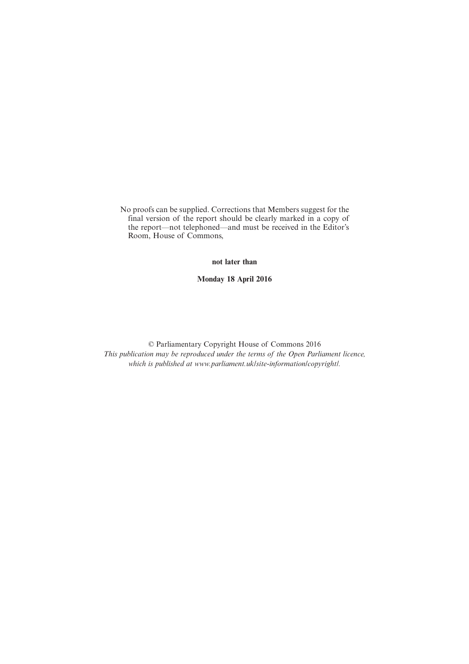No proofs can be supplied. Corrections that Members suggest for the final version of the report should be clearly marked in a copy of the report—not telephoned—and must be received in the Editor's Room, House of Commons,

**not later than**

**Monday 18 April 2016**

© Parliamentary Copyright House of Commons 2016 *This publication may be reproduced under the terms of the Open Parliament licence, which is published at www.parliament.uk/site-information/copyright/.*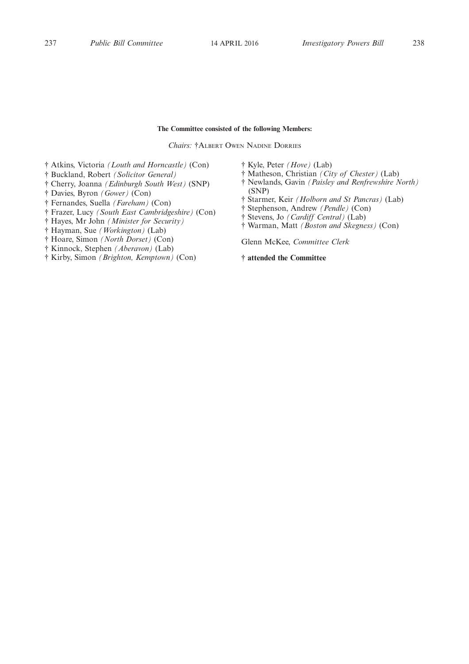#### **The Committee consisted of the following Members:**

*Chairs:* †ALBERT OWEN NADINE DORRIES

† Atkins, Victoria *(Louth and Horncastle)* (Con)

- † Buckland, Robert *(Solicitor General)*
- † Cherry, Joanna *(Edinburgh South West)* (SNP)

† Davies, Byron *(Gower)* (Con)

† Fernandes, Suella *(Fareham)* (Con)

† Frazer, Lucy *(South East Cambridgeshire)* (Con)

† Hayes, Mr John *(Minister for Security)*

† Hayman, Sue *(Workington)* (Lab)

† Hoare, Simon *(North Dorset)* (Con)

† Kinnock, Stephen *(Aberavon)* (Lab)

† Kirby, Simon *(Brighton, Kemptown)* (Con)

† Kyle, Peter *(Hove)* (Lab)

- † Matheson, Christian *(City of Chester)* (Lab)
- † Newlands, Gavin *(Paisley and Renfrewshire North)* (SNP)
- † Starmer, Keir *(Holborn and St Pancras)* (Lab)
- † Stephenson, Andrew *(Pendle)* (Con)
- † Stevens, Jo *(Cardiff Central)* (Lab)
- † Warman, Matt *(Boston and Skegness)* (Con)

Glenn McKee, *Committee Clerk*

**† attended the Committee**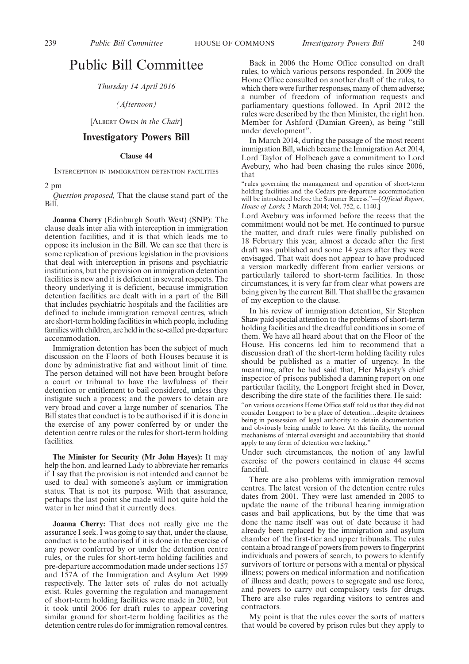## Public Bill Committee

*Thursday 14 April 2016*

*(Afternoon)*

[ALBERT OWEN *in the Chair*]

## **Investigatory Powers Bill**

#### **Clause 44**

INTERCEPTION IN IMMIGRATION DETENTION FACILITIES

2 pm

*Question proposed,* That the clause stand part of the Bill.

**Joanna Cherry** (Edinburgh South West) (SNP): The clause deals inter alia with interception in immigration detention facilities, and it is that which leads me to oppose its inclusion in the Bill. We can see that there is some replication of previous legislation in the provisions that deal with interception in prisons and psychiatric institutions, but the provision on immigration detention facilities is new and it is deficient in several respects. The theory underlying it is deficient, because immigration detention facilities are dealt with in a part of the Bill that includes psychiatric hospitals and the facilities are defined to include immigration removal centres, which are short-term holding facilities in which people, including families with children, are held in the so-called pre-departure accommodation.

Immigration detention has been the subject of much discussion on the Floors of both Houses because it is done by administrative fiat and without limit of time. The person detained will not have been brought before a court or tribunal to have the lawfulness of their detention or entitlement to bail considered, unless they instigate such a process; and the powers to detain are very broad and cover a large number of scenarios. The Bill states that conduct is to be authorised if it is done in the exercise of any power conferred by or under the detention centre rules or the rules for short-term holding facilities.

**The Minister for Security (Mr John Hayes):** It may help the hon. and learned Lady to abbreviate her remarks if  $\overline{I}$  say that the provision is not intended and cannot be used to deal with someone's asylum or immigration status. That is not its purpose. With that assurance, perhaps the last point she made will not quite hold the water in her mind that it currently does.

**Joanna Cherry:** That does not really give me the assurance I seek. I was going to say that, under the clause, conduct is to be authorised if it is done in the exercise of any power conferred by or under the detention centre rules, or the rules for short-term holding facilities and pre-departure accommodation made under sections 157 and 157A of the Immigration and Asylum Act 1999 respectively. The latter sets of rules do not actually exist. Rules governing the regulation and management of short-term holding facilities were made in 2002, but it took until 2006 for draft rules to appear covering similar ground for short-term holding facilities as the detention centre rules do for immigration removal centres.

Back in 2006 the Home Office consulted on draft rules, to which various persons responded. In 2009 the Home Office consulted on another draft of the rules, to which there were further responses, many of them adverse; a number of freedom of information requests and parliamentary questions followed. In April 2012 the rules were described by the then Minister, the right hon. Member for Ashford (Damian Green), as being "still under development".

In March 2014, during the passage of the most recent immigration Bill, which became the Immigration Act 2014, Lord Taylor of Holbeach gave a commitment to Lord Avebury, who had been chasing the rules since 2006, that

"rules governing the management and operation of short-term holding facilities and the Cedars pre-departure accommodation will be introduced before the Summer Recess."—[*Official Report, House of Lords,* 3 March 2014; Vol. 752, c. 1140.]

Lord Avebury was informed before the recess that the commitment would not be met. He continued to pursue the matter, and draft rules were finally published on 18 February this year, almost a decade after the first draft was published and some 14 years after they were envisaged. That wait does not appear to have produced a version markedly different from earlier versions or particularly tailored to short-term facilities. In those circumstances, it is very far from clear what powers are being given by the current Bill. That shall be the gravamen of my exception to the clause.

In his review of immigration detention, Sir Stephen Shaw paid special attention to the problems of short-term holding facilities and the dreadful conditions in some of them. We have all heard about that on the Floor of the House. His concerns led him to recommend that a discussion draft of the short-term holding facility rules should be published as a matter of urgency. In the meantime, after he had said that, Her Majesty's chief inspector of prisons published a damning report on one particular facility, the Longport freight shed in Dover, describing the dire state of the facilities there. He said:

"on various occasions Home Office staff told us that they did not consider Longport to be a place of detention…despite detainees being in possession of legal authority to detain documentation and obviously being unable to leave. At this facility, the normal mechanisms of internal oversight and accountability that should apply to any form of detention were lacking."

Under such circumstances, the notion of any lawful exercise of the powers contained in clause 44 seems fanciful.

There are also problems with immigration removal centres. The latest version of the detention centre rules dates from 2001. They were last amended in 2005 to update the name of the tribunal hearing immigration cases and bail applications, but by the time that was done the name itself was out of date because it had already been replaced by the immigration and asylum chamber of the first-tier and upper tribunals. The rules contain a broad range of powers from powers to fingerprint individuals and powers of search, to powers to identify survivors of torture or persons with a mental or physical illness; powers on medical information and notification of illness and death; powers to segregate and use force, and powers to carry out compulsory tests for drugs. There are also rules regarding visitors to centres and contractors.

My point is that the rules cover the sorts of matters that would be covered by prison rules but they apply to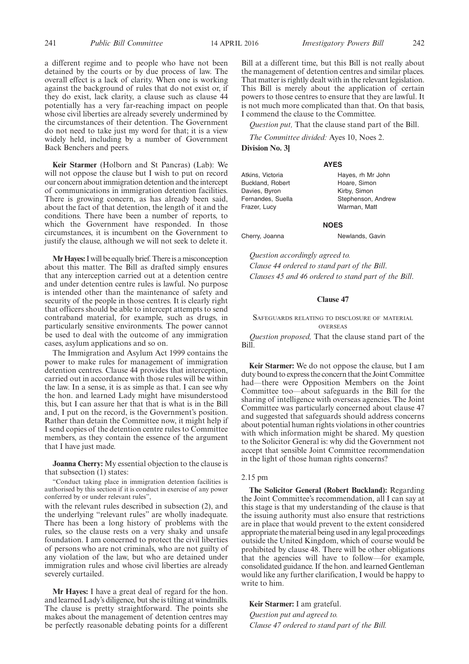a different regime and to people who have not been detained by the courts or by due process of law. The overall effect is a lack of clarity. When one is working against the background of rules that do not exist or, if they do exist, lack clarity, a clause such as clause 44 potentially has a very far-reaching impact on people whose civil liberties are already severely undermined by the circumstances of their detention. The Government do not need to take just my word for that; it is a view widely held, including by a number of Government Back Benchers and peers.

**Keir Starmer** (Holborn and St Pancras) (Lab): We will not oppose the clause but I wish to put on record our concern about immigration detention and the intercept of communications in immigration detention facilities. There is growing concern, as has already been said, about the fact of that detention, the length of it and the conditions. There have been a number of reports, to which the Government have responded. In those circumstances, it is incumbent on the Government to justify the clause, although we will not seek to delete it.

**Mr Hayes:** I will be equally brief. There is a misconception about this matter. The Bill as drafted simply ensures that any interception carried out at a detention centre and under detention centre rules is lawful. No purpose is intended other than the maintenance of safety and security of the people in those centres. It is clearly right that officers should be able to intercept attempts to send contraband material, for example, such as drugs, in particularly sensitive environments. The power cannot be used to deal with the outcome of any immigration cases, asylum applications and so on.

The Immigration and Asylum Act 1999 contains the power to make rules for management of immigration detention centres. Clause 44 provides that interception, carried out in accordance with those rules will be within the law. In a sense, it is as simple as that. I can see why the hon. and learned Lady might have misunderstood this, but I can assure her that that is what is in the Bill and, I put on the record, is the Government's position. Rather than detain the Committee now, it might help if I send copies of the detention centre rules to Committee members, as they contain the essence of the argument that I have just made.

**Joanna Cherry:** My essential objection to the clause is that subsection (1) states:

"Conduct taking place in immigration detention facilities is authorised by this section if it is conduct in exercise of any power conferred by or under relevant rules",

with the relevant rules described in subsection (2), and the underlying "relevant rules" are wholly inadequate. There has been a long history of problems with the rules, so the clause rests on a very shaky and unsafe foundation. I am concerned to protect the civil liberties of persons who are not criminals, who are not guilty of any violation of the law, but who are detained under immigration rules and whose civil liberties are already severely curtailed.

**Mr Hayes:** I have a great deal of regard for the hon. and learned Lady's diligence, but she is tilting at windmills. The clause is pretty straightforward. The points she makes about the management of detention centres may be perfectly reasonable debating points for a different Bill at a different time, but this Bill is not really about the management of detention centres and similar places. That matter is rightly dealt with in the relevant legislation. This Bill is merely about the application of certain powers to those centres to ensure that they are lawful. It is not much more complicated than that. On that basis, I commend the clause to the Committee.

*Question put,* That the clause stand part of the Bill.

*The Committee divided:* Ayes 10, Noes 2.

**Division No. 3]**

#### **AYES**

Atkins, Victoria Buckland, Robert Davies, Byron Fernandes, Suella Frazer, Lucy Hayes, rh Mr John Hoare, Simon Kirby, Simon Stephenson, Andrew Warman, Matt

#### **NOES**

Cherry, Joanna Newlands, Gavin

*Question accordingly agreed to. Clause 44 ordered to stand part of the Bill*. *Clauses 45 and 46 ordered to stand part of the Bill*.

#### **Clause 47**

#### SAFEGUARDS RELATING TO DISCLOSURE OF MATERIAL **OVERSEAS**

*Question proposed,* That the clause stand part of the Bill.

**Keir Starmer:** We do not oppose the clause, but I am duty bound to express the concern that the Joint Committee had—there were Opposition Members on the Joint Committee too—about safeguards in the Bill for the sharing of intelligence with overseas agencies. The Joint Committee was particularly concerned about clause 47 and suggested that safeguards should address concerns about potential human rights violations in other countries with which information might be shared. My question to the Solicitor General is: why did the Government not accept that sensible Joint Committee recommendation in the light of those human rights concerns?

#### 2.15 pm

**The Solicitor General (Robert Buckland):** Regarding the Joint Committee's recommendation, all I can say at this stage is that my understanding of the clause is that the issuing authority must also ensure that restrictions are in place that would prevent to the extent considered appropriate the material being used in any legal proceedings outside the United Kingdom, which of course would be prohibited by clause 48. There will be other obligations that the agencies will have to follow—for example, consolidated guidance. If the hon. and learned Gentleman would like any further clarification, I would be happy to write to him.

**Keir Starmer:** I am grateful. *Question put and agreed to. Clause 47 ordered to stand part of the Bill.*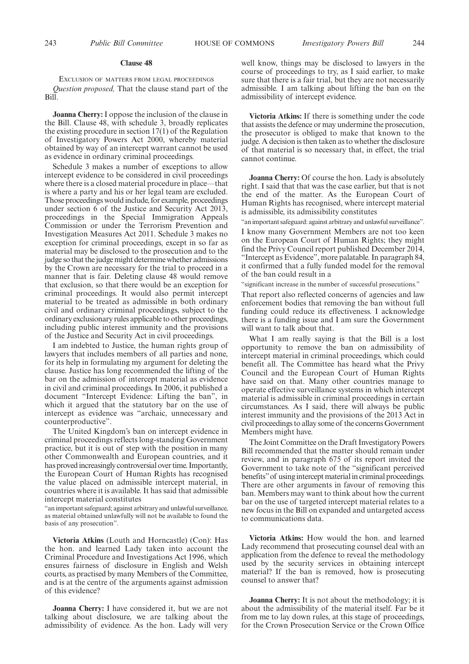#### **Clause 48**

EXCLUSION OF MATTERS FROM LEGAL PROCEEDINGS *Question proposed,* That the clause stand part of the Bill.

**Joanna Cherry:** I oppose the inclusion of the clause in the Bill. Clause 48, with schedule 3, broadly replicates the existing procedure in section 17(1) of the Regulation of Investigatory Powers Act 2000, whereby material obtained by way of an intercept warrant cannot be used as evidence in ordinary criminal proceedings.

Schedule 3 makes a number of exceptions to allow intercept evidence to be considered in civil proceedings where there is a closed material procedure in place—that is where a party and his or her legal team are excluded. Those proceedings would include, for example, proceedings under section 6 of the Justice and Security Act 2013, proceedings in the Special Immigration Appeals Commission or under the Terrorism Prevention and Investigation Measures Act 2011. Schedule 3 makes no exception for criminal proceedings, except in so far as material may be disclosed to the prosecution and to the judge so that the judge might determine whether admissions by the Crown are necessary for the trial to proceed in a manner that is fair. Deleting clause 48 would remove that exclusion, so that there would be an exception for criminal proceedings. It would also permit intercept material to be treated as admissible in both ordinary civil and ordinary criminal proceedings, subject to the ordinary exclusionary rules applicable to other proceedings, including public interest immunity and the provisions of the Justice and Security Act in civil proceedings.

I am indebted to Justice, the human rights group of lawyers that includes members of all parties and none, for its help in formulating my argument for deleting the clause. Justice has long recommended the lifting of the bar on the admission of intercept material as evidence in civil and criminal proceedings. In 2006, it published a document "Intercept Evidence: Lifting the ban", in which it argued that the statutory bar on the use of intercept as evidence was "archaic, unnecessary and counterproductive".

The United Kingdom's ban on intercept evidence in criminal proceedings reflects long-standing Government practice, but it is out of step with the position in many other Commonwealth and European countries, and it has proved increasingly controversial over time. Importantly, the European Court of Human Rights has recognised the value placed on admissible intercept material, in countries where it is available. It has said that admissible intercept material constitutes

"an important safeguard; against arbitrary and unlawful surveillance, as material obtained unlawfully will not be available to found the basis of any prosecution".

**Victoria Atkins** (Louth and Horncastle) (Con): Has the hon. and learned Lady taken into account the Criminal Procedure and Investigations Act 1996, which ensures fairness of disclosure in English and Welsh courts, as practised by many Members of the Committee, and is at the centre of the arguments against admission of this evidence?

**Joanna Cherry:** I have considered it, but we are not talking about disclosure, we are talking about the admissibility of evidence. As the hon. Lady will very well know, things may be disclosed to lawyers in the course of proceedings to try, as I said earlier, to make sure that there is a fair trial, but they are not necessarily admissible. I am talking about lifting the ban on the admissibility of intercept evidence.

**Victoria Atkins:** If there is something under the code that assists the defence or may undermine the prosecution, the prosecutor is obliged to make that known to the judge. A decision is then taken as to whether the disclosure of that material is so necessary that, in effect, the trial cannot continue.

**Joanna Cherry:** Of course the hon. Lady is absolutely right. I said that that was the case earlier, but that is not the end of the matter. As the European Court of Human Rights has recognised, where intercept material is admissible, its admissibility constitutes

"an important safeguard: against arbitrary and unlawful surveillance".

I know many Government Members are not too keen on the European Court of Human Rights; they might find the Privy Council report published December 2014, "Intercept as Evidence", more palatable. In paragraph 84, it confirmed that a fully funded model for the removal of the ban could result in a

"significant increase in the number of successful prosecutions."

That report also reflected concerns of agencies and law enforcement bodies that removing the ban without full funding could reduce its effectiveness. I acknowledge there is a funding issue and I am sure the Government will want to talk about that.

What I am really saying is that the Bill is a lost opportunity to remove the ban on admissibility of intercept material in criminal proceedings, which could benefit all. The Committee has heard what the Privy Council and the European Court of Human Rights have said on that. Many other countries manage to operate effective surveillance systems in which intercept material is admissible in criminal proceedings in certain circumstances. As I said, there will always be public interest immunity and the provisions of the 2013 Act in civil proceedings to allay some of the concerns Government Members might have.

The Joint Committee on the Draft Investigatory Powers Bill recommended that the matter should remain under review, and in paragraph 675 of its report invited the Government to take note of the "significant perceived benefits"of using intercept material in criminal proceedings. There are other arguments in favour of removing this ban. Members may want to think about how the current bar on the use of targeted intercept material relates to a new focus in the Bill on expanded and untargeted access to communications data.

**Victoria Atkins:** How would the hon. and learned Lady recommend that prosecuting counsel deal with an application from the defence to reveal the methodology used by the security services in obtaining intercept material? If the ban is removed, how is prosecuting counsel to answer that?

**Joanna Cherry:** It is not about the methodology; it is about the admissibility of the material itself. Far be it from me to lay down rules, at this stage of proceedings, for the Crown Prosecution Service or the Crown Office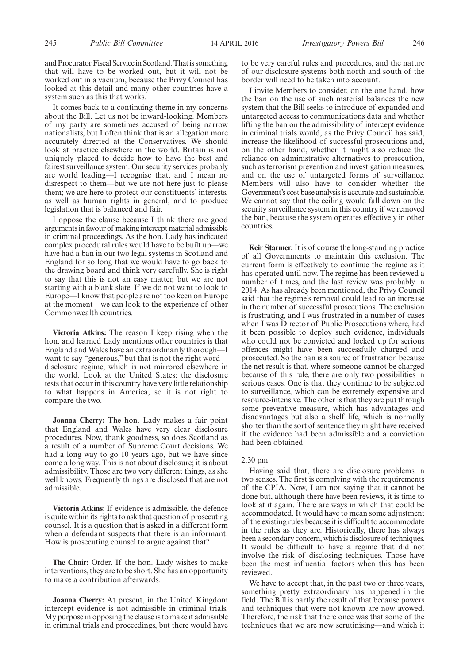and Procurator Fiscal Service in Scotland. That is something that will have to be worked out, but it will not be worked out in a vacuum, because the Privy Council has looked at this detail and many other countries have a system such as this that works.

It comes back to a continuing theme in my concerns about the Bill. Let us not be inward-looking. Members of my party are sometimes accused of being narrow nationalists, but I often think that is an allegation more accurately directed at the Conservatives. We should look at practice elsewhere in the world. Britain is not uniquely placed to decide how to have the best and fairest surveillance system. Our security services probably are world leading—I recognise that, and I mean no disrespect to them—but we are not here just to please them; we are here to protect our constituents' interests, as well as human rights in general, and to produce legislation that is balanced and fair.

I oppose the clause because I think there are good arguments in favour of making intercept material admissible in criminal proceedings. As the hon. Lady has indicated complex procedural rules would have to be built up—we have had a ban in our two legal systems in Scotland and England for so long that we would have to go back to the drawing board and think very carefully. She is right to say that this is not an easy matter, but we are not starting with a blank slate. If we do not want to look to Europe—I know that people are not too keen on Europe at the moment—we can look to the experience of other Commonwealth countries.

**Victoria Atkins:** The reason I keep rising when the hon. and learned Lady mentions other countries is that England and Wales have an extraordinarily thorough—I want to say "generous," but that is not the right word disclosure regime, which is not mirrored elsewhere in the world. Look at the United States: the disclosure tests that occur in this country have very little relationship to what happens in America, so it is not right to compare the two.

**Joanna Cherry:** The hon. Lady makes a fair point that England and Wales have very clear disclosure procedures. Now, thank goodness, so does Scotland as a result of a number of Supreme Court decisions. We had a long way to go 10 years ago, but we have since come a long way. This is not about disclosure; it is about admissibility. Those are two very different things, as she well knows. Frequently things are disclosed that are not admissible.

**Victoria Atkins:** If evidence is admissible, the defence is quite within its rights to ask that question of prosecuting counsel. It is a question that is asked in a different form when a defendant suspects that there is an informant. How is prosecuting counsel to argue against that?

**The Chair:** Order. If the hon. Lady wishes to make interventions, they are to be short. She has an opportunity to make a contribution afterwards.

**Joanna Cherry:** At present, in the United Kingdom intercept evidence is not admissible in criminal trials. My purpose in opposing the clause is to make it admissible in criminal trials and proceedings, but there would have to be very careful rules and procedures, and the nature of our disclosure systems both north and south of the border will need to be taken into account.

I invite Members to consider, on the one hand, how the ban on the use of such material balances the new system that the Bill seeks to introduce of expanded and untargeted access to communications data and whether lifting the ban on the admissibility of intercept evidence in criminal trials would, as the Privy Council has said, increase the likelihood of successful prosecutions and, on the other hand, whether it might also reduce the reliance on administrative alternatives to prosecution, such as terrorism prevention and investigation measures, and on the use of untargeted forms of surveillance. Members will also have to consider whether the Government's cost base analysis is accurate and sustainable. We cannot say that the ceiling would fall down on the security surveillance system in this country if we removed the ban, because the system operates effectively in other countries.

**Keir Starmer:**It is of course the long-standing practice of all Governments to maintain this exclusion. The current form is effectively to continue the regime as it has operated until now. The regime has been reviewed a number of times, and the last review was probably in 2014. As has already been mentioned, the Privy Council said that the regime's removal could lead to an increase in the number of successful prosecutions. The exclusion is frustrating, and I was frustrated in a number of cases when I was Director of Public Prosecutions where, had it been possible to deploy such evidence, individuals who could not be convicted and locked up for serious offences might have been successfully charged and prosecuted. So the ban is a source of frustration because the net result is that, where someone cannot be charged because of this rule, there are only two possibilities in serious cases. One is that they continue to be subjected to surveillance, which can be extremely expensive and resource-intensive. The other is that they are put through some preventive measure, which has advantages and disadvantages but also a shelf life, which is normally shorter than the sort of sentence they might have received if the evidence had been admissible and a conviction had been obtained.

#### 2.30 pm

Having said that, there are disclosure problems in two senses. The first is complying with the requirements of the CPIA. Now, I am not saying that it cannot be done but, although there have been reviews, it is time to look at it again. There are ways in which that could be accommodated. It would have to mean some adjustment of the existing rules because it is difficult to accommodate in the rules as they are. Historically, there has always been a secondary concern, which is disclosure of techniques. It would be difficult to have a regime that did not involve the risk of disclosing techniques. Those have been the most influential factors when this has been reviewed.

We have to accept that, in the past two or three years, something pretty extraordinary has happened in the field. The Bill is partly the result of that because powers and techniques that were not known are now avowed. Therefore, the risk that there once was that some of the techniques that we are now scrutinising—and which it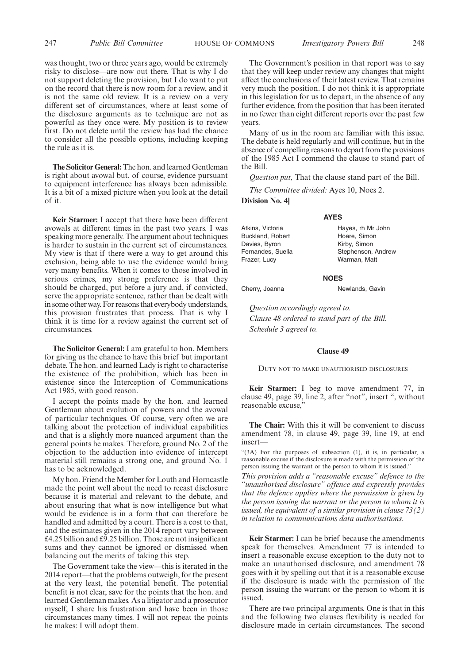was thought, two or three years ago, would be extremely risky to disclose—are now out there. That is why I do not support deleting the provision, but I do want to put on the record that there is now room for a review, and it is not the same old review. It is a review on a very different set of circumstances, where at least some of the disclosure arguments as to technique are not as powerful as they once were. My position is to review first. Do not delete until the review has had the chance to consider all the possible options, including keeping the rule as it is.

**The Solicitor General:**The hon. and learned Gentleman is right about avowal but, of course, evidence pursuant to equipment interference has always been admissible. It is a bit of a mixed picture when you look at the detail of it.

**Keir Starmer:** I accept that there have been different avowals at different times in the past two years. I was speaking more generally. The argument about techniques is harder to sustain in the current set of circumstances. My view is that if there were a way to get around this exclusion, being able to use the evidence would bring very many benefits. When it comes to those involved in serious crimes, my strong preference is that they should be charged, put before a jury and, if convicted, serve the appropriate sentence, rather than be dealt with in some other way. For reasons that everybody understands, this provision frustrates that process. That is why I think it is time for a review against the current set of circumstances.

**The Solicitor General:** I am grateful to hon. Members for giving us the chance to have this brief but important debate. The hon. and learned Lady is right to characterise the existence of the prohibition, which has been in existence since the Interception of Communications Act 1985, with good reason.

I accept the points made by the hon. and learned Gentleman about evolution of powers and the avowal of particular techniques. Of course, very often we are talking about the protection of individual capabilities and that is a slightly more nuanced argument than the general points he makes. Therefore, ground No. 2 of the objection to the adduction into evidence of intercept material still remains a strong one, and ground No. 1 has to be acknowledged.

My hon. Friend the Member for Louth and Horncastle made the point well about the need to recast disclosure because it is material and relevant to the debate, and about ensuring that what is now intelligence but what would be evidence is in a form that can therefore be handled and admitted by a court. There is a cost to that, and the estimates given in the 2014 report vary between £4.25 billion and £9.25 billion. Those are not insignificant sums and they cannot be ignored or dismissed when balancing out the merits of taking this step.

The Government take the view—this is iterated in the 2014 report—that the problems outweigh, for the present at the very least, the potential benefit. The potential benefit is not clear, save for the points that the hon. and learned Gentleman makes. As a litigator and a prosecutor myself, I share his frustration and have been in those circumstances many times. I will not repeat the points he makes: I will adopt them.

The Government's position in that report was to say that they will keep under review any changes that might affect the conclusions of their latest review. That remains very much the position. I do not think it is appropriate in this legislation for us to depart, in the absence of any further evidence, from the position that has been iterated in no fewer than eight different reports over the past few years.

Many of us in the room are familiar with this issue. The debate is held regularly and will continue, but in the absence of compelling reasons to depart from the provisions of the 1985 Act I commend the clause to stand part of the Bill.

*Question put,* That the clause stand part of the Bill.

**AYES**

*The Committee divided:* Ayes 10, Noes 2.

**Division No. 4]**

Atkins, Victoria Buckland, Robert Davies, Byron Fernandes, Suella Frazer, Lucy

Hayes, rh Mr John Hoare, Simon Kirby, Simon Stephenson, Andrew Warman, Matt

#### **NOES**

Cherry, Joanna Newlands, Gavin

*Question accordingly agreed to. Clause 48 ordered to stand part of the Bill. Schedule 3 agreed to.*

#### **Clause 49**

DUTY NOT TO MAKE UNAUTHORISED DISCLOSURES

**Keir Starmer:** I beg to move amendment 77, in clause 49, page 39, line 2, after "not", insert ", without reasonable excuse,"

**The Chair:** With this it will be convenient to discuss amendment 78, in clause 49, page 39, line 19, at end insert—

"(3A) For the purposes of subsection (1), it is, in particular, a reasonable excuse if the disclosure is made with the permission of the person issuing the warrant or the person to whom it is issued."

*This provision adds a "reasonable excuse" defence to the "unauthorised disclosure" offence and expressly provides that the defence applies where the permission is given by the person issuing the warrant or the person to whom it is issued, the equivalent of a similar provision in clause 73(2) in relation to communications data authorisations.*

**Keir Starmer:** I can be brief because the amendments speak for themselves. Amendment 77 is intended to insert a reasonable excuse exception to the duty not to make an unauthorised disclosure, and amendment 78 goes with it by spelling out that it is a reasonable excuse if the disclosure is made with the permission of the person issuing the warrant or the person to whom it is issued.

There are two principal arguments. One is that in this and the following two clauses flexibility is needed for disclosure made in certain circumstances. The second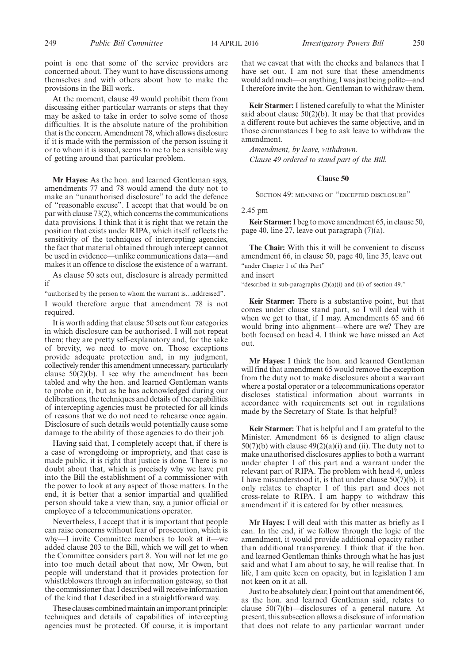point is one that some of the service providers are concerned about. They want to have discussions among themselves and with others about how to make the provisions in the Bill work.

At the moment, clause 49 would prohibit them from discussing either particular warrants or steps that they may be asked to take in order to solve some of those difficulties. It is the absolute nature of the prohibition that is the concern. Amendment 78, which allows disclosure if it is made with the permission of the person issuing it or to whom it is issued, seems to me to be a sensible way of getting around that particular problem.

**Mr Hayes:** As the hon. and learned Gentleman says, amendments 77 and 78 would amend the duty not to make an "unauthorised disclosure" to add the defence of "reasonable excuse". I accept that that would be on par with clause 73(2), which concerns the communications data provisions. I think that it is right that we retain the position that exists under RIPA, which itself reflects the sensitivity of the techniques of intercepting agencies, the fact that material obtained through intercept cannot be used in evidence—unlike communications data—and makes it an offence to disclose the existence of a warrant.

As clause 50 sets out, disclosure is already permitted if

"authorised by the person to whom the warrant is…addressed". I would therefore argue that amendment 78 is not required.

It is worth adding that clause 50 sets out four categories in which disclosure can be authorised. I will not repeat them; they are pretty self-explanatory and, for the sake of brevity, we need to move on. Those exceptions provide adequate protection and, in my judgment, collectively render this amendment unnecessary, particularly clause  $50(2)(b)$ . I see why the amendment has been tabled and why the hon. and learned Gentleman wants to probe on it, but as he has acknowledged during our deliberations, the techniques and details of the capabilities of intercepting agencies must be protected for all kinds of reasons that we do not need to rehearse once again. Disclosure of such details would potentially cause some damage to the ability of those agencies to do their job.

Having said that, I completely accept that, if there is a case of wrongdoing or impropriety, and that case is made public, it is right that justice is done. There is no doubt about that, which is precisely why we have put into the Bill the establishment of a commissioner with the power to look at any aspect of those matters. In the end, it is better that a senior impartial and qualified person should take a view than, say, a junior official or employee of a telecommunications operator.

Nevertheless, I accept that it is important that people can raise concerns without fear of prosecution, which is why—I invite Committee members to look at it—we added clause 203 to the Bill, which we will get to when the Committee considers part 8. You will not let me go into too much detail about that now, Mr Owen, but people will understand that it provides protection for whistleblowers through an information gateway, so that the commissioner that I described will receive information of the kind that I described in a straightforward way.

These clauses combined maintain an important principle: techniques and details of capabilities of intercepting agencies must be protected. Of course, it is important that we caveat that with the checks and balances that I have set out. I am not sure that these amendments would add much—or anything; I was just being polite—and I therefore invite the hon. Gentleman to withdraw them.

**Keir Starmer:** I listened carefully to what the Minister said about clause  $50(2)(b)$ . It may be that that provides a different route but achieves the same objective, and in those circumstances I beg to ask leave to withdraw the amendment.

*Amendment, by leave, withdrawn. Clause 49 ordered to stand part of the Bill.*

#### **Clause 50**

SECTION 49: MEANING OF "EXCEPTED DISCLOSURE"

2.45 pm

**Keir Starmer:**I beg to move amendment 65, in clause 50, page 40, line 27, leave out paragraph (7)(a).

**The Chair:** With this it will be convenient to discuss amendment 66, in clause 50, page 40, line 35, leave out "under Chapter 1 of this Part"

and insert

"described in sub-paragraphs (2)(a)(i) and (ii) of section 49."

**Keir Starmer:** There is a substantive point, but that comes under clause stand part, so I will deal with it when we get to that, if I may. Amendments 65 and 66 would bring into alignment—where are we? They are both focused on head 4. I think we have missed an Act out.

**Mr Hayes:** I think the hon. and learned Gentleman will find that amendment 65 would remove the exception from the duty not to make disclosures about a warrant where a postal operator or a telecommunications operator discloses statistical information about warrants in accordance with requirements set out in regulations made by the Secretary of State. Is that helpful?

**Keir Starmer:** That is helpful and I am grateful to the Minister. Amendment 66 is designed to align clause  $50(7)(b)$  with clause  $49(2)(a)(i)$  and (ii). The duty not to make unauthorised disclosures applies to both a warrant under chapter 1 of this part and a warrant under the relevant part of RIPA. The problem with head 4, unless I have misunderstood it, is that under clause 50(7)(b), it only relates to chapter 1 of this part and does not cross-relate to RIPA. I am happy to withdraw this amendment if it is catered for by other measures.

**Mr Hayes:** I will deal with this matter as briefly as I can. In the end, if we follow through the logic of the amendment, it would provide additional opacity rather than additional transparency. I think that if the hon. and learned Gentleman thinks through what he has just said and what I am about to say, he will realise that. In life, I am quite keen on opacity, but in legislation I am not keen on it at all.

Just to be absolutely clear, I point out that amendment 66, as the hon. and learned Gentleman said, relates to clause 50(7)(b)—disclosures of a general nature. At present, this subsection allows a disclosure of information that does not relate to any particular warrant under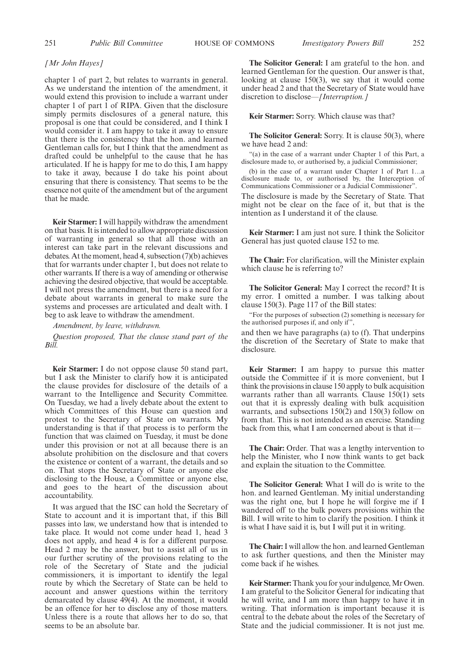#### *[Mr John Hayes]*

chapter 1 of part 2, but relates to warrants in general. As we understand the intention of the amendment, it would extend this provision to include a warrant under chapter 1 of part 1 of RIPA. Given that the disclosure simply permits disclosures of a general nature, this proposal is one that could be considered, and I think I would consider it. I am happy to take it away to ensure that there is the consistency that the hon. and learned Gentleman calls for, but I think that the amendment as drafted could be unhelpful to the cause that he has articulated. If he is happy for me to do this, I am happy to take it away, because I do take his point about ensuring that there is consistency. That seems to be the essence not quite of the amendment but of the argument that he made.

**Keir Starmer:** I will happily withdraw the amendment on that basis. It is intended to allow appropriate discussion of warranting in general so that all those with an interest can take part in the relevant discussions and debates. At the moment, head 4, subsection (7)(b) achieves that for warrants under chapter 1, but does not relate to other warrants. If there is a way of amending or otherwise achieving the desired objective, that would be acceptable. I will not press the amendment, but there is a need for a debate about warrants in general to make sure the systems and processes are articulated and dealt with. I beg to ask leave to withdraw the amendment.

*Amendment, by leave, withdrawn.*

*Question proposed, That the clause stand part of the Bill.*

**Keir Starmer:** I do not oppose clause 50 stand part, but I ask the Minister to clarify how it is anticipated the clause provides for disclosure of the details of a warrant to the Intelligence and Security Committee. On Tuesday, we had a lively debate about the extent to which Committees of this House can question and protest to the Secretary of State on warrants. My understanding is that if that process is to perform the function that was claimed on Tuesday, it must be done under this provision or not at all because there is an absolute prohibition on the disclosure and that covers the existence or content of a warrant, the details and so on. That stops the Secretary of State or anyone else disclosing to the House, a Committee or anyone else, and goes to the heart of the discussion about accountability.

It was argued that the ISC can hold the Secretary of State to account and it is important that, if this Bill passes into law, we understand how that is intended to take place. It would not come under head 1, head 3 does not apply, and head 4 is for a different purpose. Head 2 may be the answer, but to assist all of us in our further scrutiny of the provisions relating to the role of the Secretary of State and the judicial commissioners, it is important to identify the legal route by which the Secretary of State can be held to account and answer questions within the territory demarcated by clause 49(4). At the moment, it would be an offence for her to disclose any of those matters. Unless there is a route that allows her to do so, that seems to be an absolute bar.

**The Solicitor General:** I am grateful to the hon. and learned Gentleman for the question. Our answer is that, looking at clause 150(3), we say that it would come under head 2 and that the Secretary of State would have discretion to disclose—*[Interruption.]*

**Keir Starmer:** Sorry. Which clause was that?

**The Solicitor General:** Sorry. It is clause 50(3), where we have head 2 and:

"(a) in the case of a warrant under Chapter 1 of this Part, a disclosure made to, or authorised by, a judicial Commissioner;

(b) in the case of a warrant under Chapter 1 of Part 1…a disclosure made to, or authorised by, the Interception of Communications Commissioner or a Judicial Commissioner".

The disclosure is made by the Secretary of State. That might not be clear on the face of it, but that is the intention as I understand it of the clause.

**Keir Starmer:** I am just not sure. I think the Solicitor General has just quoted clause 152 to me.

**The Chair:** For clarification, will the Minister explain which clause he is referring to?

**The Solicitor General:** May I correct the record? It is my error. I omitted a number. I was talking about clause 150(3). Page 117 of the Bill states:

"For the purposes of subsection (2) something is necessary for the authorised purposes if, and only if ",

and then we have paragraphs (a) to (f). That underpins the discretion of the Secretary of State to make that disclosure.

**Keir Starmer:** I am happy to pursue this matter outside the Committee if it is more convenient, but I think the provisions in clause 150 apply to bulk acquisition warrants rather than all warrants. Clause  $150(1)$  sets out that it is expressly dealing with bulk acquisition warrants, and subsections 150(2) and 150(3) follow on from that. This is not intended as an exercise. Standing back from this, what I am concerned about is that it—

**The Chair:** Order. That was a lengthy intervention to help the Minister, who I now think wants to get back and explain the situation to the Committee.

**The Solicitor General:** What I will do is write to the hon. and learned Gentleman. My initial understanding was the right one, but I hope he will forgive me if I wandered off to the bulk powers provisions within the Bill. I will write to him to clarify the position. I think it is what I have said it is, but I will put it in writing.

**The Chair:**I will allow the hon. and learned Gentleman to ask further questions, and then the Minister may come back if he wishes.

Keir Starmer: Thank you for your indulgence, Mr Owen. I am grateful to the Solicitor General for indicating that he will write, and I am more than happy to have it in writing. That information is important because it is central to the debate about the roles of the Secretary of State and the judicial commissioner. It is not just me.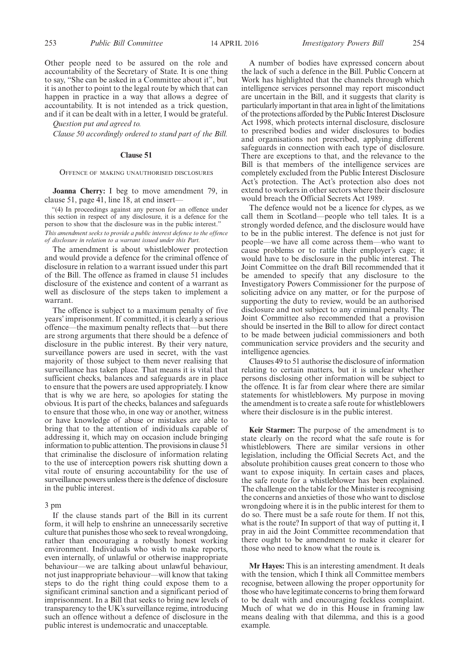Other people need to be assured on the role and accountability of the Secretary of State. It is one thing to say, "She can be asked in a Committee about it", but it is another to point to the legal route by which that can happen in practice in a way that allows a degree of accountability. It is not intended as a trick question, and if it can be dealt with in a letter, I would be grateful.

*Question put and agreed to.*

*Clause 50 accordingly ordered to stand part of the Bill.*

#### **Clause 51**

OFFENCE OF MAKING UNAUTHORISED DISCLOSURES

**Joanna Cherry:** I beg to move amendment 79, in clause 51, page 41, line 18, at end insert—

"(4) In proceedings against any person for an offence under this section in respect of any disclosure, it is a defence for the person to show that the disclosure was in the public interest."

*This amendment seeks to provide a public interest defence to the offence of disclosure in relation to a warrant issued under this Part.*

The amendment is about whistleblower protection and would provide a defence for the criminal offence of disclosure in relation to a warrant issued under this part of the Bill. The offence as framed in clause 51 includes disclosure of the existence and content of a warrant as well as disclosure of the steps taken to implement a warrant.

The offence is subject to a maximum penalty of five years' imprisonment. If committed, it is clearly a serious offence—the maximum penalty reflects that—but there are strong arguments that there should be a defence of disclosure in the public interest. By their very nature, surveillance powers are used in secret, with the vast majority of those subject to them never realising that surveillance has taken place. That means it is vital that sufficient checks, balances and safeguards are in place to ensure that the powers are used appropriately. I know that is why we are here, so apologies for stating the obvious. It is part of the checks, balances and safeguards to ensure that those who, in one way or another, witness or have knowledge of abuse or mistakes are able to bring that to the attention of individuals capable of addressing it, which may on occasion include bringing information to public attention. The provisions in clause 51 that criminalise the disclosure of information relating to the use of interception powers risk shutting down a vital route of ensuring accountability for the use of surveillance powers unless there is the defence of disclosure in the public interest.

#### 3 pm

If the clause stands part of the Bill in its current form, it will help to enshrine an unnecessarily secretive culture that punishes those who seek to reveal wrongdoing, rather than encouraging a robustly honest working environment. Individuals who wish to make reports, even internally, of unlawful or otherwise inappropriate behaviour—we are talking about unlawful behaviour, not just inappropriate behaviour—will know that taking steps to do the right thing could expose them to a significant criminal sanction and a significant period of imprisonment. In a Bill that seeks to bring new levels of transparency to the UK's surveillance regime, introducing such an offence without a defence of disclosure in the public interest is undemocratic and unacceptable.

A number of bodies have expressed concern about the lack of such a defence in the Bill. Public Concern at Work has highlighted that the channels through which intelligence services personnel may report misconduct are uncertain in the Bill, and it suggests that clarity is particularly important in that area in light of the limitations of the protections afforded by the Public Interest Disclosure Act 1998, which protects internal disclosure, disclosure to prescribed bodies and wider disclosures to bodies and organisations not prescribed, applying different safeguards in connection with each type of disclosure. There are exceptions to that, and the relevance to the Bill is that members of the intelligence services are completely excluded from the Public Interest Disclosure Act's protection. The Act's protection also does not extend to workers in other sectors where their disclosure would breach the Official Secrets Act 1989.

The defence would not be a licence for clypes, as we call them in Scotland—people who tell tales. It is a strongly worded defence, and the disclosure would have to be in the public interest. The defence is not just for people—we have all come across them—who want to cause problems or to rattle their employer's cage; it would have to be disclosure in the public interest. The Joint Committee on the draft Bill recommended that it be amended to specify that any disclosure to the Investigatory Powers Commissioner for the purpose of soliciting advice on any matter, or for the purpose of supporting the duty to review, would be an authorised disclosure and not subject to any criminal penalty. The Joint Committee also recommended that a provision should be inserted in the Bill to allow for direct contact to be made between judicial commissioners and both communication service providers and the security and intelligence agencies.

Clauses 49 to 51 authorise the disclosure of information relating to certain matters, but it is unclear whether persons disclosing other information will be subject to the offence. It is far from clear where there are similar statements for whistleblowers. My purpose in moving the amendment is to create a safe route for whistleblowers where their disclosure is in the public interest.

**Keir Starmer:** The purpose of the amendment is to state clearly on the record what the safe route is for whistleblowers. There are similar versions in other legislation, including the Official Secrets Act, and the absolute prohibition causes great concern to those who want to expose iniquity. In certain cases and places, the safe route for a whistleblower has been explained. The challenge on the table for the Minister is recognising the concerns and anxieties of those who want to disclose wrongdoing where it is in the public interest for them to do so. There must be a safe route for them. If not this, what is the route? In support of that way of putting it, I pray in aid the Joint Committee recommendation that there ought to be amendment to make it clearer for those who need to know what the route is.

**Mr Hayes:** This is an interesting amendment. It deals with the tension, which I think all Committee members recognise, between allowing the proper opportunity for those who have legitimate concerns to bring them forward to be dealt with and encouraging feckless complaint. Much of what we do in this House in framing law means dealing with that dilemma, and this is a good example.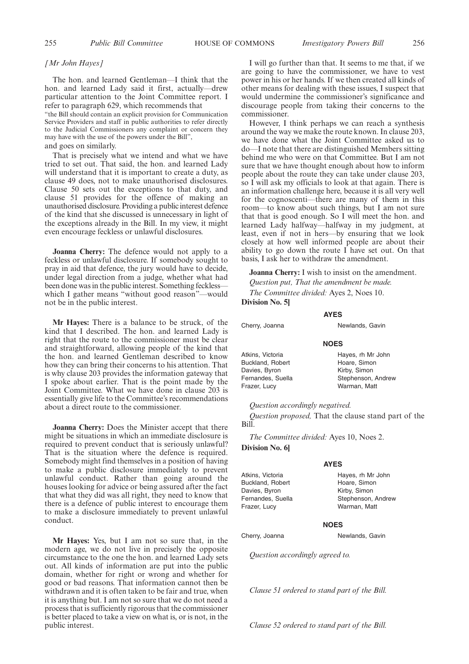#### *[Mr John Hayes]*

The hon. and learned Gentleman—I think that the hon. and learned Lady said it first, actually—drew particular attention to the Joint Committee report. I refer to paragraph 629, which recommends that

"the Bill should contain an explicit provision for Communication Service Providers and staff in public authorities to refer directly to the Judicial Commissioners any complaint or concern they may have with the use of the powers under the Bill",

and goes on similarly.

That is precisely what we intend and what we have tried to set out. That said, the hon. and learned Lady will understand that it is important to create a duty, as clause 49 does, not to make unauthorised disclosures. Clause 50 sets out the exceptions to that duty, and clause 51 provides for the offence of making an unauthorised disclosure. Providing a public interest defence of the kind that she discussed is unnecessary in light of the exceptions already in the Bill. In my view, it might even encourage feckless or unlawful disclosures.

**Joanna Cherry:** The defence would not apply to a feckless or unlawful disclosure. If somebody sought to pray in aid that defence, the jury would have to decide, under legal direction from a judge, whether what had been done was in the public interest. Something feckless which I gather means "without good reason"—would not be in the public interest.

**Mr Hayes:** There is a balance to be struck, of the kind that I described. The hon. and learned Lady is right that the route to the commissioner must be clear and straightforward, allowing people of the kind that the hon. and learned Gentleman described to know how they can bring their concerns to his attention. That is why clause 203 provides the information gateway that I spoke about earlier. That is the point made by the Joint Committee. What we have done in clause 203 is essentially give life to the Committee's recommendations about a direct route to the commissioner.

**Joanna Cherry:** Does the Minister accept that there might be situations in which an immediate disclosure is required to prevent conduct that is seriously unlawful? That is the situation where the defence is required. Somebody might find themselves in a position of having to make a public disclosure immediately to prevent unlawful conduct. Rather than going around the houses looking for advice or being assured after the fact that what they did was all right, they need to know that there is a defence of public interest to encourage them to make a disclosure immediately to prevent unlawful conduct.

**Mr Hayes:** Yes, but I am not so sure that, in the modern age, we do not live in precisely the opposite circumstance to the one the hon. and learned Lady sets out. All kinds of information are put into the public domain, whether for right or wrong and whether for good or bad reasons. That information cannot then be withdrawn and it is often taken to be fair and true, when it is anything but. I am not so sure that we do not need a process that is sufficiently rigorous that the commissioner is better placed to take a view on what is, or is not, in the public interest.

I will go further than that. It seems to me that, if we are going to have the commissioner, we have to vest power in his or her hands. If we then created all kinds of other means for dealing with these issues, I suspect that would undermine the commissioner's significance and discourage people from taking their concerns to the commissioner.

However, I think perhaps we can reach a synthesis around the way we make the route known. In clause 203, we have done what the Joint Committee asked us to do—I note that there are distinguished Members sitting behind me who were on that Committee. But I am not sure that we have thought enough about how to inform people about the route they can take under clause 203, so I will ask my officials to look at that again. There is an information challenge here, because it is all very well for the cognoscenti—there are many of them in this room—to know about such things, but I am not sure that that is good enough. So I will meet the hon. and learned Lady halfway—halfway in my judgment, at least, even if not in hers—by ensuring that we look closely at how well informed people are about their ability to go down the route I have set out. On that basis, I ask her to withdraw the amendment.

**Joanna Cherry:** I wish to insist on the amendment. *Question put, That the amendment be made. The Committee divided:* Ayes 2, Noes 10.

## **Division No. 5]**

#### Cherry, Joanna Newlands, Gavin

#### **NOES**

**AYES**

| Atkins, Victoria  | Hayes, rh Mr John  |
|-------------------|--------------------|
| Buckland, Robert  | Hoare, Simon       |
| Davies, Byron     | Kirby, Simon       |
| Fernandes. Suella | Stephenson, Andrew |
| Frazer, Lucy      | Warman, Matt       |

#### *Question accordingly negatived.*

*Question proposed,* That the clause stand part of the Bill.

*The Committee divided:* Ayes 10, Noes 2.

## **Division No. 6]**

Atkins, Victoria Buckland, Robert Davies, Byron Fernandes, Suella Frazer, Lucy

#### **AYES**

Hayes, rh Mr John Hoare, Simon Kirby, Simon Stephenson, Andrew Warman, Matt

#### **NOES**

Cherry, Joanna Newlands, Gavin

*Question accordingly agreed to.*

*Clause 51 ordered to stand part of the Bill.*

*Clause 52 ordered to stand part of the Bill.*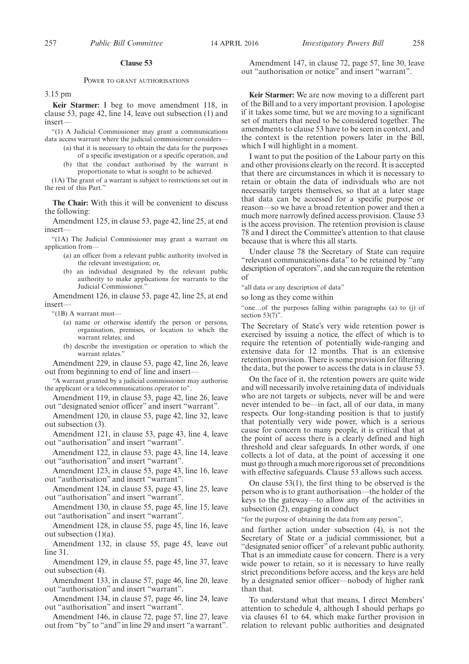#### **Clause 53**

#### POWER TO GRANT AUTHORISATIONS

3.15 pm

**Keir Starmer:** I beg to move amendment 118, in clause 53, page 42, line 14, leave out subsection (1) and insert—

"(1) A Judicial Commissioner may grant a communications data access warrant where the judicial commissioner considers—

- (a) that it is necessary to obtain the data for the purposes of a specific investigation or a specific operation, and
- (b) that the conduct authorised by the warrant is

proportionate to what is sought to be achieved. (1A) The grant of a warrant is subject to restrictions set out in

the rest of this Part."

**The Chair:** With this it will be convenient to discuss the following:

Amendment 125, in clause 53, page 42, line 25, at end insert—

"(1A) The Judicial Commissioner may grant a warrant on application from—

- (a) an officer from a relevant public authority involved in the relevant investigation; or,
- (b) an individual designated by the relevant public authority to make applications for warrants to the Judicial Commissioner."

Amendment 126, in clause 53, page 42, line 25, at end insert—

"(1B) A warrant must—

- (a) name or otherwise identify the person or persons, organisation, premises, or location to which the warrant relates; and
- (b) describe the investigation or operation to which the warrant relates.

Amendment 229, in clause 53, page 42, line 26, leave out from beginning to end of line and insert—

"A warrant granted by a judicial commissioner may authorise the applicant or a telecommunications operator to".

Amendment 119, in clause 53, page 42, line 26, leave out "designated senior officer" and insert "warrant".

Amendment 120, in clause 53, page 42, line 32, leave out subsection (3).

Amendment 121, in clause 53, page 43, line 4, leave out "authorisation" and insert "warrant".

Amendment 122, in clause 53, page 43, line 14, leave out "authorisation" and insert "warrant".

Amendment 123, in clause 53, page 43, line 16, leave out "authorisation" and insert "warrant".

Amendment 124, in clause 53, page 43, line 25, leave out "authorisation" and insert "warrant".

Amendment 130, in clause 55, page 45, line 15, leave out "authorisation" and insert "warrant".

Amendment 128, in clause 55, page 45, line 16, leave out subsection  $(1)(a)$ .

Amendment 132, in clause 55, page 45, leave out line 31.

Amendment 129, in clause 55, page 45, line 37, leave out subsection (4).

Amendment 133, in clause 57, page 46, line 20, leave out "authorisation" and insert "warrant".

Amendment 134, in clause 57, page 46, line 24, leave out "authorisation" and insert "warrant".

Amendment 146, in clause 72, page 57, line 27, leave out from "by" to "and"in line 29 and insert "a warrant".

Amendment 147, in clause 72, page 57, line 30, leave out "authorisation or notice" and insert "warrant".

**Keir Starmer:** We are now moving to a different part of the Bill and to a very important provision. I apologise if it takes some time, but we are moving to a significant set of matters that need to be considered together. The amendments to clause 53 have to be seen in context, and the context is the retention powers later in the Bill, which I will highlight in a moment.

I want to put the position of the Labour party on this and other provisions clearly on the record. It is accepted that there are circumstances in which it is necessary to retain or obtain the data of individuals who are not necessarily targets themselves, so that at a later stage that data can be accessed for a specific purpose or reason—so we have a broad retention power and then a much more narrowly defined access provision. Clause 53 is the access provision. The retention provision is clause 78 and I direct the Committee's attention to that clause because that is where this all starts.

Under clause 78 the Secretary of State can require "relevant communications data" to be retained by "any description of operators", and she can require the retention of

"all data or any description of data"

so long as they come within

"one…of the purposes falling within paragraphs (a) to (j) of section 53(7)".

The Secretary of State's very wide retention power is exercised by issuing a notice, the effect of which is to require the retention of potentially wide-ranging and extensive data for 12 months. That is an extensive retention provision. There is some provision for filtering the data, but the power to access the data is in clause 53.

On the face of it, the retention powers are quite wide and will necessarily involve retaining data of individuals who are not targets or subjects, never will be and were never intended to be—in fact, all of our data, in many respects. Our long-standing position is that to justify that potentially very wide power, which is a serious cause for concern to many people, it is critical that at the point of access there is a clearly defined and high threshold and clear safeguards. In other words, if one collects a lot of data, at the point of accessing it one must go through a much more rigorous set of preconditions with effective safeguards. Clause 53 allows such access.

On clause 53(1), the first thing to be observed is the person who is to grant authorisation—the holder of the keys to the gateway—to allow any of the activities in subsection (2), engaging in conduct

"for the purpose of obtaining the data from any person",

and further action under subsection (4), is not the Secretary of State or a judicial commissioner, but a "designated senior officer" of a relevant public authority. That is an immediate cause for concern. There is a very wide power to retain, so it is necessary to have really strict preconditions before access, and the keys are held by a designated senior officer—nobody of higher rank than that.

To understand what that means, I direct Members' attention to schedule 4, although I should perhaps go via clauses 61 to 64, which make further provision in relation to relevant public authorities and designated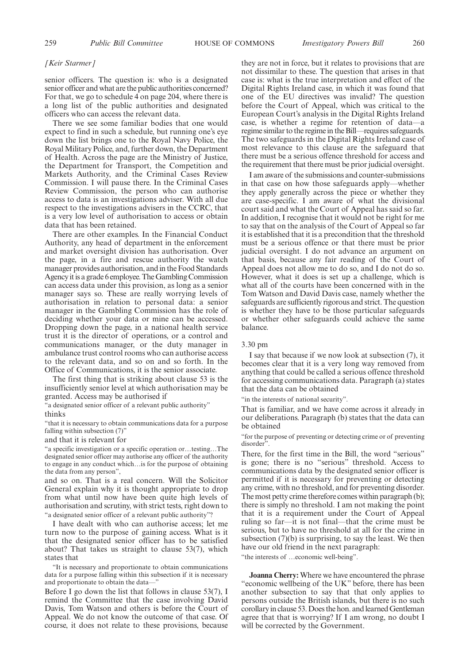#### *[Keir Starmer]*

senior officers. The question is: who is a designated senior officer and what are the public authorities concerned? For that, we go to schedule 4 on page 204, where there is a long list of the public authorities and designated officers who can access the relevant data.

There we see some familiar bodies that one would expect to find in such a schedule, but running one's eye down the list brings one to the Royal Navy Police, the Royal Military Police, and, further down, the Department of Health. Across the page are the Ministry of Justice, the Department for Transport, the Competition and Markets Authority, and the Criminal Cases Review Commission. I will pause there. In the Criminal Cases Review Commission, the person who can authorise access to data is an investigations adviser. With all due respect to the investigations advisers in the CCRC, that is a very low level of authorisation to access or obtain data that has been retained.

There are other examples. In the Financial Conduct Authority, any head of department in the enforcement and market oversight division has authorisation. Over the page, in a fire and rescue authority the watch manager provides authorisation, and in the Food Standards Agency it is a grade 6 employee. TheGambling Commission can access data under this provision, as long as a senior manager says so. These are really worrying levels of authorisation in relation to personal data: a senior manager in the Gambling Commission has the role of deciding whether your data or mine can be accessed. Dropping down the page, in a national health service trust it is the director of operations, or a control and communications manager, or the duty manager in ambulance trust control rooms who can authorise access to the relevant data, and so on and so forth. In the Office of Communications, it is the senior associate.

The first thing that is striking about clause 53 is the insufficiently senior level at which authorisation may be granted. Access may be authorised if

"a designated senior officer of a relevant public authority"

## thinks

"that it is necessary to obtain communications data for a purpose falling within subsection (7)"

and that it is relevant for

"a specific investigation or a specific operation or…testing…The designated senior officer may authorise any officer of the authority to engage in any conduct which…is for the purpose of obtaining the data from any person",

and so on. That is a real concern. Will the Solicitor General explain why it is thought appropriate to drop from what until now have been quite high levels of authorisation and scrutiny, with strict tests, right down to "a designated senior officer of a relevant public authority"?

I have dealt with who can authorise access; let me turn now to the purpose of gaining access. What is it that the designated senior officer has to be satisfied about? That takes us straight to clause 53(7), which states that

"It is necessary and proportionate to obtain communications data for a purpose falling within this subsection if it is necessary and proportionate to obtain the data-

Before I go down the list that follows in clause 53(7), I remind the Committee that the case involving David Davis, Tom Watson and others is before the Court of Appeal. We do not know the outcome of that case. Of course, it does not relate to these provisions, because

they are not in force, but it relates to provisions that are not dissimilar to these. The question that arises in that case is: what is the true interpretation and effect of the Digital Rights Ireland case, in which it was found that one of the EU directives was invalid? The question before the Court of Appeal, which was critical to the European Court's analysis in the Digital Rights Ireland case, is whether a regime for retention of data—a regime similar to the regime in the Bill—requires safeguards. The two safeguards in the Digital Rights Ireland case of most relevance to this clause are the safeguard that there must be a serious offence threshold for access and the requirement that there must be prior judicial oversight.

I am aware of the submissions and counter-submissions in that case on how those safeguards apply—whether they apply generally across the piece or whether they are case-specific. I am aware of what the divisional court said and what the Court of Appeal has said so far. In addition, I recognise that it would not be right for me to say that on the analysis of the Court of Appeal so far it is established that it is a precondition that the threshold must be a serious offence or that there must be prior judicial oversight. I do not advance an argument on that basis, because any fair reading of the Court of Appeal does not allow me to do so, and I do not do so. However, what it does is set up a challenge, which is what all of the courts have been concerned with in the Tom Watson and David Davis case, namely whether the safeguards are sufficiently rigorous and strict. The question is whether they have to be those particular safeguards or whether other safeguards could achieve the same balance.

#### 3.30 pm

I say that because if we now look at subsection (7), it becomes clear that it is a very long way removed from anything that could be called a serious offence threshold for accessing communications data. Paragraph (a) states that the data can be obtained

"in the interests of national security".

That is familiar, and we have come across it already in our deliberations. Paragraph (b) states that the data can be obtained

"for the purpose of preventing or detecting crime or of preventing disorder".

There, for the first time in the Bill, the word "serious" is gone; there is no "serious" threshold. Access to communications data by the designated senior officer is permitted if it is necessary for preventing or detecting any crime, with no threshold, and for preventing disorder. The most petty crime therefore comes within paragraph (b); there is simply no threshold. I am not making the point that it is a requirement under the Court of Appeal ruling so far—it is not final—that the crime must be serious, but to have no threshold at all for the crime in subsection  $(7)(b)$  is surprising, to say the least. We then have our old friend in the next paragraph:

"the interests of …economic well-being".

**Joanna Cherry:** Where we have encountered the phrase "economic wellbeing of the UK" before, there has been another subsection to say that that only applies to persons outside the British islands, but there is no such corollary in clause 53. Does the hon. and learned Gentleman agree that that is worrying? If I am wrong, no doubt I will be corrected by the Government.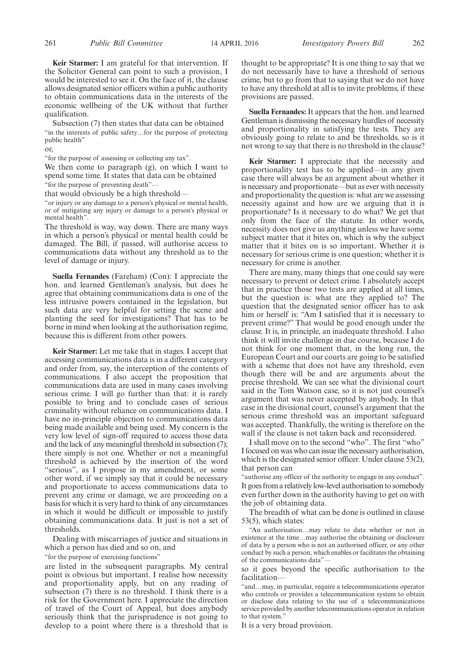**Keir Starmer:** I am grateful for that intervention. If the Solicitor General can point to such a provision, I would be interested to see it. On the face of it, the clause allows designated senior officers within a public authority to obtain communications data in the interests of the economic wellbeing of the UK without that further qualification.

Subsection (7) then states that data can be obtained "in the interests of public safety…for the purpose of protecting public health"

or,

"for the purpose of assessing or collecting any tax".

We then come to paragraph (g), on which I want to spend some time. It states that data can be obtained "for the purpose of preventing death"—

that would obviously be a high threshold—

"or injury or any damage to a person's physical or mental health, or of mitigating any injury or damage to a person's physical or mental health".

The threshold is way, way down. There are many ways in which a person's physical or mental health could be damaged. The Bill, if passed, will authorise access to communications data without any threshold as to the level of damage or injury.

**Suella Fernandes** (Fareham) (Con): I appreciate the hon. and learned Gentleman's analysis, but does he agree that obtaining communications data is one of the less intrusive powers contained in the legislation, but such data are very helpful for setting the scene and planting the seed for investigations? That has to be borne in mind when looking at the authorisation regime, because this is different from other powers.

**Keir Starmer:** Let me take that in stages. I accept that accessing communications data is in a different category and order from, say, the interception of the contents of communications. I also accept the proposition that communications data are used in many cases involving serious crime. I will go further than that: it is rarely possible to bring and to conclude cases of serious criminality without reliance on communications data. I have no in-principle objection to communications data being made available and being used. My concern is the very low level of sign-off required to access those data and the lack of any meaningful threshold in subsection (7); there simply is not one. Whether or not a meaningful threshold is achieved by the insertion of the word "serious", as I propose in my amendment, or some other word, if we simply say that it could be necessary and proportionate to access communications data to prevent any crime or damage, we are proceeding on a basis for which it is very hard to think of any circumstances in which it would be difficult or impossible to justify obtaining communications data. It just is not a set of thresholds.

Dealing with miscarriages of justice and situations in which a person has died and so on, and

"for the purpose of exercising functions"

are listed in the subsequent paragraphs. My central point is obvious but important. I realise how necessity and proportionality apply, but on any reading of subsection (7) there is no threshold. I think there is a risk for the Government here. I appreciate the direction of travel of the Court of Appeal, but does anybody seriously think that the jurisprudence is not going to develop to a point where there is a threshold that is

thought to be appropriate? It is one thing to say that we do not necessarily have to have a threshold of serious crime, but to go from that to saying that we do not have to have any threshold at all is to invite problems, if these provisions are passed.

**Suella Fernandes:** It appears that the hon. and learned Gentleman is dismissing the necessary hurdles of necessity and proportionality in satisfying the tests. They are obviously going to relate to and be thresholds, so is it not wrong to say that there is no threshold in the clause?

**Keir Starmer:** I appreciate that the necessity and proportionality test has to be applied—in any given case there will always be an argument about whether it is necessary and proportionate—but as ever with necessity and proportionality the question is: what are we assessing necessity against and how are we arguing that it is proportionate? Is it necessary to do what? We get that only from the face of the statute. In other words, necessity does not give us anything unless we have some subject matter that it bites on, which is why the subject matter that it bites on is so important. Whether it is necessary for serious crime is one question; whether it is necessary for crime is another.

There are many, many things that one could say were necessary to prevent or detect crime. I absolutely accept that in practice those two tests are applied at all times, but the question is: what are they applied to? The question that the designated senior officer has to ask him or herself is: "Am I satisfied that it is necessary to prevent crime?" That would be good enough under the clause. It is, in principle, an inadequate threshold. I also think it will invite challenge in due course, because I do not think for one moment that, in the long run, the European Court and our courts are going to be satisfied with a scheme that does not have any threshold, even though there will be and are arguments about the precise threshold. We can see what the divisional court said in the Tom Watson case, so it is not just counsel's argument that was never accepted by anybody. In that case in the divisional court, counsel's argument that the serious crime threshold was an important safeguard was accepted. Thankfully, the writing is therefore on the wall if the clause is not taken back and reconsidered.

I shall move on to the second "who". The first "who" I focused on was who can issue the necessary authorisation, which is the designated senior officer. Under clause 53(2), that person can

"authorise any officer of the authority to engage in any conduct". It goes from a relatively low-level authorisation to somebody even further down in the authority having to get on with the job of obtaining data.

The breadth of what can be done is outlined in clause 53(5), which states:

"An authorisation…may relate to data whether or not in existence at the time…may authorise the obtaining or disclosure of data by a person who is not an authorised officer, or any other conduct by such a person, which enables or facilitates the obtaining of the communications data"—

so it goes beyond the specific authorisation to the facilitation—

"and…may, in particular, require a telecommunications operator who controls or provides a telecommunication system to obtain or disclose data relating to the use of a telecommunications service provided by another telecommunications operator in relation to that system."

It is a very broad provision.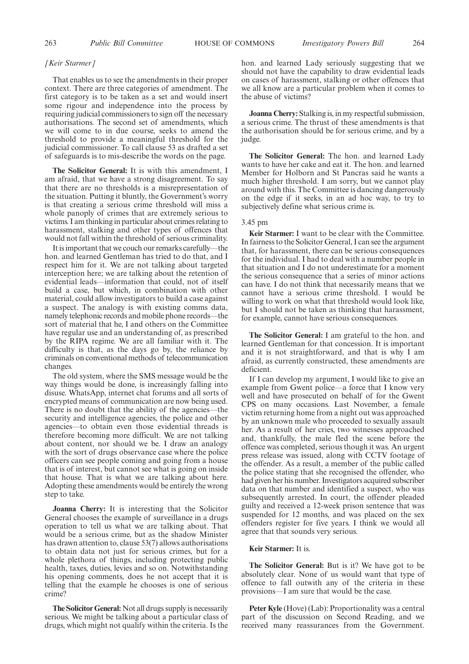#### *[Keir Starmer]*

That enables us to see the amendments in their proper context. There are three categories of amendment. The first category is to be taken as a set and would insert some rigour and independence into the process by requiring judicial commissioners to sign off the necessary authorisations. The second set of amendments, which we will come to in due course, seeks to amend the threshold to provide a meaningful threshold for the judicial commissioner. To call clause 53 as drafted a set of safeguards is to mis-describe the words on the page.

**The Solicitor General:** It is with this amendment, I am afraid, that we have a strong disagreement. To say that there are no thresholds is a misrepresentation of the situation. Putting it bluntly, the Government's worry is that creating a serious crime threshold will miss a whole panoply of crimes that are extremely serious to victims. I am thinking in particular about crimes relating to harassment, stalking and other types of offences that would not fall within the threshold of serious criminality.

It is important that we couch our remarks carefully—the hon. and learned Gentleman has tried to do that, and I respect him for it. We are not talking about targeted interception here; we are talking about the retention of evidential leads—information that could, not of itself build a case, but which, in combination with other material, could allow investigators to build a case against a suspect. The analogy is with existing comms data, namely telephonic records and mobile phone records—the sort of material that he, I and others on the Committee have regular use and an understanding of, as prescribed by the RIPA regime. We are all familiar with it. The difficulty is that, as the days go by, the reliance by criminals on conventional methods of telecommunication changes.

The old system, where the SMS message would be the way things would be done, is increasingly falling into disuse. WhatsApp, internet chat forums and all sorts of encrypted means of communication are now being used. There is no doubt that the ability of the agencies—the security and intelligence agencies, the police and other agencies—to obtain even those evidential threads is therefore becoming more difficult. We are not talking about content, nor should we be. I draw an analogy with the sort of drugs observance case where the police officers can see people coming and going from a house that is of interest, but cannot see what is going on inside that house. That is what we are talking about here. Adopting these amendments would be entirely the wrong step to take.

**Joanna Cherry:** It is interesting that the Solicitor General chooses the example of surveillance in a drugs operation to tell us what we are talking about. That would be a serious crime, but as the shadow Minister has drawn attention to, clause 53(7) allows authorisations to obtain data not just for serious crimes, but for a whole plethora of things, including protecting public health, taxes, duties, levies and so on. Notwithstanding his opening comments, does he not accept that it is telling that the example he chooses is one of serious crime?

**The Solicitor General:** Not all drugs supply is necessarily serious. We might be talking about a particular class of drugs, which might not qualify within the criteria. Is the hon. and learned Lady seriously suggesting that we should not have the capability to draw evidential leads on cases of harassment, stalking or other offences that we all know are a particular problem when it comes to the abuse of victims?

**Joanna Cherry:** Stalking is, in my respectful submission, a serious crime. The thrust of these amendments is that the authorisation should be for serious crime, and by a judge.

**The Solicitor General:** The hon. and learned Lady wants to have her cake and eat it. The hon. and learned Member for Holborn and St Pancras said he wants a much higher threshold. I am sorry, but we cannot play around with this. The Committee is dancing dangerously on the edge if it seeks, in an ad hoc way, to try to subjectively define what serious crime is.

#### 3.45 pm

**Keir Starmer:** I want to be clear with the Committee. In fairness to the Solicitor General, I can see the argument that, for harassment, there can be serious consequences for the individual. I had to deal with a number people in that situation and I do not underestimate for a moment the serious consequence that a series of minor actions can have. I do not think that necessarily means that we cannot have a serious crime threshold. I would be willing to work on what that threshold would look like, but I should not be taken as thinking that harassment, for example, cannot have serious consequences.

**The Solicitor General:** I am grateful to the hon. and learned Gentleman for that concession. It is important and it is not straightforward, and that is why I am afraid, as currently constructed, these amendments are deficient.

If I can develop my argument, I would like to give an example from Gwent police—a force that I know very well and have prosecuted on behalf of for the Gwent CPS on many occasions. Last November, a female victim returning home from a night out was approached by an unknown male who proceeded to sexually assault her. As a result of her cries, two witnesses approached and, thankfully, the male fled the scene before the offence was completed, serious though it was. An urgent press release was issued, along with CCTV footage of the offender. As a result, a member of the public called the police stating that she recognised the offender, who had given her his number. Investigators acquired subscriber data on that number and identified a suspect, who was subsequently arrested. In court, the offender pleaded guilty and received a 12-week prison sentence that was suspended for 12 months, and was placed on the sex offenders register for five years. I think we would all agree that that sounds very serious.

#### **Keir Starmer:** It is.

**The Solicitor General:** But is it? We have got to be absolutely clear. None of us would want that type of offence to fall outwith any of the criteria in these provisions—I am sure that would be the case.

**Peter Kyle** (Hove) (Lab): Proportionality was a central part of the discussion on Second Reading, and we received many reassurances from the Government.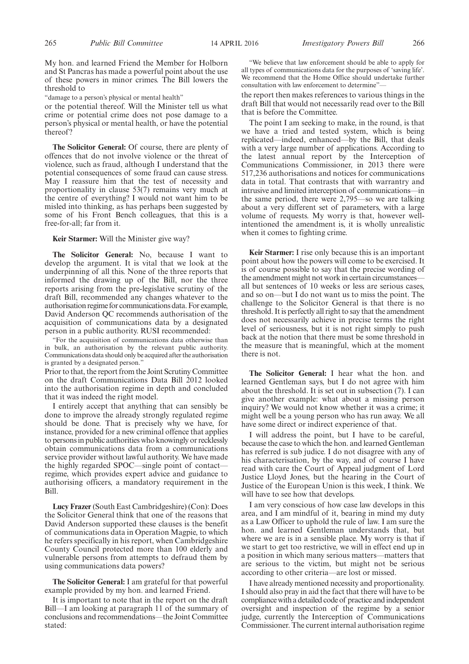My hon. and learned Friend the Member for Holborn and St Pancras has made a powerful point about the use of these powers in minor crimes. The Bill lowers the threshold to

"damage to a person's physical or mental health"

or the potential thereof. Will the Minister tell us what crime or potential crime does not pose damage to a person's physical or mental health, or have the potential thereof?

**The Solicitor General:** Of course, there are plenty of offences that do not involve violence or the threat of violence, such as fraud, although I understand that the potential consequences of some fraud can cause stress. May I reassure him that the test of necessity and proportionality in clause 53(7) remains very much at the centre of everything? I would not want him to be misled into thinking, as has perhaps been suggested by some of his Front Bench colleagues, that this is a free-for-all; far from it.

#### **Keir Starmer:** Will the Minister give way?

**The Solicitor General:** No, because I want to develop the argument. It is vital that we look at the underpinning of all this. None of the three reports that informed the drawing up of the Bill, nor the three reports arising from the pre-legislative scrutiny of the draft Bill, recommended any changes whatever to the authorisation regime for communications data.For example, David Anderson QC recommends authorisation of the acquisition of communications data by a designated person in a public authority. RUSI recommended:

"For the acquisition of communications data otherwise than in bulk, an authorisation by the relevant public authority. Communications data should only be acquired after the authorisation is granted by a designated person."

Prior to that, the report from the Joint Scrutiny Committee on the draft Communications Data Bill 2012 looked into the authorisation regime in depth and concluded that it was indeed the right model.

I entirely accept that anything that can sensibly be done to improve the already strongly regulated regime should be done. That is precisely why we have, for instance, provided for a new criminal offence that applies to persons in public authorities who knowingly or recklessly obtain communications data from a communications service provider without lawful authority. We have made the highly regarded SPOC—single point of contact regime, which provides expert advice and guidance to authorising officers, a mandatory requirement in the Bill.

**Lucy Frazer**(South East Cambridgeshire) (Con): Does the Solicitor General think that one of the reasons that David Anderson supported these clauses is the benefit of communications data in Operation Magpie, to which he refers specifically in his report, when Cambridgeshire County Council protected more than 100 elderly and vulnerable persons from attempts to defraud them by using communications data powers?

**The Solicitor General:** I am grateful for that powerful example provided by my hon. and learned Friend.

It is important to note that in the report on the draft Bill—I am looking at paragraph 11 of the summary of conclusions and recommendations—the Joint Committee stated:

"We believe that law enforcement should be able to apply for all types of communications data for the purposes of 'saving life'. We recommend that the Home Office should undertake further consultation with law enforcement to determine"—

the report then makes references to various things in the draft Bill that would not necessarily read over to the Bill that is before the Committee.

The point I am seeking to make, in the round, is that we have a tried and tested system, which is being replicated—indeed, enhanced—by the Bill, that deals with a very large number of applications. According to the latest annual report by the Interception of Communications Commissioner, in 2013 there were 517,236 authorisations and notices for communications data in total. That contrasts that with warrantry and intrusive and limited interception of communications—in the same period, there were 2,795—so we are talking about a very different set of parameters, with a large volume of requests. My worry is that, however wellintentioned the amendment is, it is wholly unrealistic when it comes to fighting crime.

**Keir Starmer:** I rise only because this is an important point about how the powers will come to be exercised. It is of course possible to say that the precise wording of the amendment might not work in certain circumstances all but sentences of 10 weeks or less are serious cases, and so on—but I do not want us to miss the point. The challenge to the Solicitor General is that there is no threshold. It is perfectly all right to say that the amendment does not necessarily achieve in precise terms the right level of seriousness, but it is not right simply to push back at the notion that there must be some threshold in the measure that is meaningful, which at the moment there is not.

**The Solicitor General:** I hear what the hon. and learned Gentleman says, but I do not agree with him about the threshold. It is set out in subsection (7). I can give another example: what about a missing person inquiry? We would not know whether it was a crime; it might well be a young person who has run away. We all have some direct or indirect experience of that.

I will address the point, but I have to be careful, because the case to which the hon. and learned Gentleman has referred is sub judice. I do not disagree with any of his characterisation, by the way, and of course I have read with care the Court of Appeal judgment of Lord Justice Lloyd Jones, but the hearing in the Court of Justice of the European Union is this week, I think. We will have to see how that develops.

I am very conscious of how case law develops in this area, and I am mindful of it, bearing in mind my duty as a Law Officer to uphold the rule of law. I am sure the hon. and learned Gentleman understands that, but where we are is in a sensible place. My worry is that if we start to get too restrictive, we will in effect end up in a position in which many serious matters—matters that are serious to the victim, but might not be serious according to other criteria—are lost or missed.

I have already mentioned necessity and proportionality. I should also pray in aid the fact that there will have to be compliance with a detailed code of practice andindependent oversight and inspection of the regime by a senior judge, currently the Interception of Communications Commissioner. The current internal authorisation regime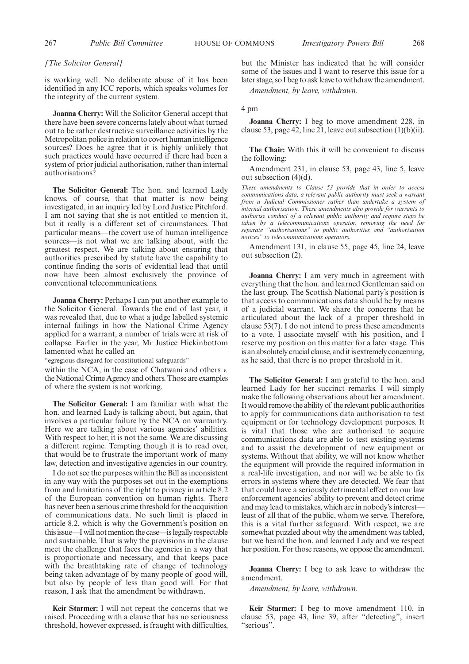### *[The Solicitor General]*

is working well. No deliberate abuse of it has been identified in any ICC reports, which speaks volumes for the integrity of the current system.

**Joanna Cherry:** Will the Solicitor General accept that there have been severe concerns lately about what turned out to be rather destructive surveillance activities by the Metropolitan police in relation to covert human intelligence sources? Does he agree that it is highly unlikely that such practices would have occurred if there had been a system of prior judicial authorisation, rather than internal authorisations?

**The Solicitor General:** The hon. and learned Lady knows, of course, that that matter is now being investigated, in an inquiry led by Lord Justice Pitchford. I am not saying that she is not entitled to mention it, but it really is a different set of circumstances. That particular means—the covert use of human intelligence sources—is not what we are talking about, with the greatest respect. We are talking about ensuring that authorities prescribed by statute have the capability to continue finding the sorts of evidential lead that until now have been almost exclusively the province of conventional telecommunications.

**Joanna Cherry:** Perhaps I can put another example to the Solicitor General. Towards the end of last year, it was revealed that, due to what a judge labelled systemic internal failings in how the National Crime Agency applied for a warrant, a number of trials were at risk of collapse. Earlier in the year, Mr Justice Hickinbottom lamented what he called an

"egregious disregard for constitutional safeguards"

within the NCA, in the case of Chatwani and others *v.* the National Crime Agency and others. Those are examples of where the system is not working.

**The Solicitor General:** I am familiar with what the hon. and learned Lady is talking about, but again, that involves a particular failure by the NCA on warrantry. Here we are talking about various agencies' abilities. With respect to her, it is not the same. We are discussing a different regime. Tempting though it is to read over, that would be to frustrate the important work of many law, detection and investigative agencies in our country.

I do not see the purposes within the Bill as inconsistent in any way with the purposes set out in the exemptions from and limitations of the right to privacy in article 8.2 of the European convention on human rights. There has never been a serious crime threshold for the acquisition of communications data. No such limit is placed in article 8.2, which is why the Government's position on this issue—I will not mention the case—is legally respectable and sustainable. That is why the provisions in the clause meet the challenge that faces the agencies in a way that is proportionate and necessary, and that keeps pace with the breathtaking rate of change of technology being taken advantage of by many people of good will, but also by people of less than good will. For that reason, I ask that the amendment be withdrawn.

**Keir Starmer:** I will not repeat the concerns that we raised. Proceeding with a clause that has no seriousness threshold, however expressed, is fraught with difficulties, but the Minister has indicated that he will consider some of the issues and I want to reserve this issue for a later stage, so I beg to ask leave to withdraw the amendment.

*Amendment, by leave, withdrawn.*

#### 4 pm

**Joanna Cherry:** I beg to move amendment 228, in clause 53, page 42, line 21, leave out subsection  $(1)(b)(ii)$ .

**The Chair:** With this it will be convenient to discuss the following:

Amendment 231, in clause 53, page 43, line 5, leave out subsection (4)(d).

*These amendments to Clause 53 provide that in order to access communications data, a relevant public authority must seek a warrant from a Judicial Commissioner rather than undertake a system of internal authorisation. These amendments also provide for warrants to authorise conduct of a relevant public authority and require steps be taken by a telecommunications operator, removing the need for separate "authorisations" to public authorities and "authorisation notices" to telecommunications operators.*

Amendment 131, in clause 55, page 45, line 24, leave out subsection (2).

**Joanna Cherry:** I am very much in agreement with everything that the hon. and learned Gentleman said on the last group. The Scottish National party's position is that access to communications data should be by means of a judicial warrant. We share the concerns that he articulated about the lack of a proper threshold in clause 53(7). I do not intend to press these amendments to a vote. I associate myself with his position, and I reserve my position on this matter for a later stage. This is an absolutely crucial clause, and it is extremely concerning, as he said, that there is no proper threshold in it.

**The Solicitor General:** I am grateful to the hon. and learned Lady for her succinct remarks. I will simply make the following observations about her amendment. It would remove the ability of the relevant public authorities to apply for communications data authorisation to test equipment or for technology development purposes. It is vital that those who are authorised to acquire communications data are able to test existing systems and to assist the development of new equipment or systems. Without that ability, we will not know whether the equipment will provide the required information in a real-life investigation, and nor will we be able to fix errors in systems where they are detected. We fear that that could have a seriously detrimental effect on our law enforcement agencies' ability to prevent and detect crime and may lead to mistakes, which are in nobody's interest least of all that of the public, whom we serve. Therefore, this is a vital further safeguard. With respect, we are somewhat puzzled about why the amendment was tabled, but we heard the hon. and learned Lady and we respect her position. For those reasons, we oppose the amendment.

**Joanna Cherry:** I beg to ask leave to withdraw the amendment.

*Amendment, by leave, withdrawn.*

**Keir Starmer:** I beg to move amendment 110, in clause 53, page 43, line 39, after "detecting", insert "serious".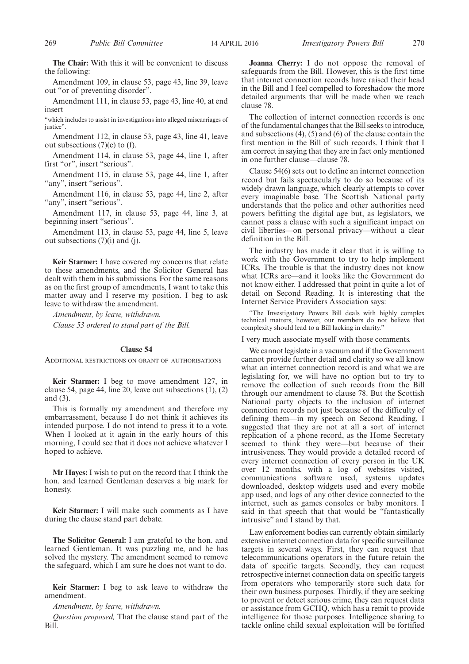**The Chair:** With this it will be convenient to discuss the following:

Amendment 109, in clause 53, page 43, line 39, leave out "or of preventing disorder".

Amendment 111, in clause 53, page 43, line 40, at end insert

"which includes to assist in investigations into alleged miscarriages of justice".

Amendment 112, in clause 53, page 43, line 41, leave out subsections (7)(c) to (f).

Amendment 114, in clause 53, page 44, line 1, after first "or", insert "serious".

Amendment 115, in clause 53, page 44, line 1, after "any", insert "serious".

Amendment 116, in clause 53, page 44, line 2, after "any", insert "serious".

Amendment 117, in clause 53, page 44, line 3, at beginning insert "serious".

Amendment 113, in clause 53, page 44, line 5, leave out subsections (7)(i) and (j).

**Keir Starmer:** I have covered my concerns that relate to these amendments, and the Solicitor General has dealt with them in his submissions. For the same reasons as on the first group of amendments, I want to take this matter away and I reserve my position. I beg to ask leave to withdraw the amendment.

*Amendment, by leave, withdrawn. Clause 53 ordered to stand part of the Bill.*

#### **Clause 54**

ADDITIONAL RESTRICTIONS ON GRANT OF AUTHORISATIONS

**Keir Starmer:** I beg to move amendment 127, in clause 54, page 44, line 20, leave out subsections (1), (2) and (3).

This is formally my amendment and therefore my embarrassment, because I do not think it achieves its intended purpose. I do not intend to press it to a vote. When I looked at it again in the early hours of this morning, I could see that it does not achieve whatever I hoped to achieve.

**Mr Hayes:** I wish to put on the record that I think the hon. and learned Gentleman deserves a big mark for honesty.

**Keir Starmer:** I will make such comments as I have during the clause stand part debate.

**The Solicitor General:** I am grateful to the hon. and learned Gentleman. It was puzzling me, and he has solved the mystery. The amendment seemed to remove the safeguard, which I am sure he does not want to do.

**Keir Starmer:** I beg to ask leave to withdraw the amendment.

*Amendment, by leave, withdrawn.*

*Question proposed,* That the clause stand part of the Bill.

**Joanna Cherry:** I do not oppose the removal of safeguards from the Bill. However, this is the first time that internet connection records have raised their head in the Bill and I feel compelled to foreshadow the more detailed arguments that will be made when we reach clause 78.

The collection of internet connection records is one of the fundamental changes that the Bill seeks to introduce, and subsections (4), (5) and (6) of the clause contain the first mention in the Bill of such records. I think that I am correct in saying that they are in fact only mentioned in one further clause—clause 78.

Clause 54(6) sets out to define an internet connection record but fails spectacularly to do so because of its widely drawn language, which clearly attempts to cover every imaginable base. The Scottish National party understands that the police and other authorities need powers befitting the digital age but, as legislators, we cannot pass a clause with such a significant impact on civil liberties—on personal privacy—without a clear definition in the Bill.

The industry has made it clear that it is willing to work with the Government to try to help implement ICRs. The trouble is that the industry does not know what ICRs are—and it looks like the Government do not know either. I addressed that point in quite a lot of detail on Second Reading. It is interesting that the Internet Service Providers Association says:

"The Investigatory Powers Bill deals with highly complex technical matters, however, our members do not believe that complexity should lead to a Bill lacking in clarity."

I very much associate myself with those comments.

We cannot legislate in a vacuum and if the Government cannot provide further detail and clarity so we all know what an internet connection record is and what we are legislating for, we will have no option but to try to remove the collection of such records from the Bill through our amendment to clause 78. But the Scottish National party objects to the inclusion of internet connection records not just because of the difficulty of defining them—in my speech on Second Reading, I suggested that they are not at all a sort of internet replication of a phone record, as the Home Secretary seemed to think they were—but because of their intrusiveness. They would provide a detailed record of every internet connection of every person in the UK over 12 months, with a log of websites visited, communications software used, systems updates downloaded, desktop widgets used and every mobile app used, and logs of any other device connected to the internet, such as games consoles or baby monitors. I said in that speech that that would be "fantastically intrusive" and I stand by that.

Law enforcement bodies can currently obtain similarly extensive internet connection data for specific surveillance targets in several ways. First, they can request that telecommunications operators in the future retain the data of specific targets. Secondly, they can request retrospective internet connection data on specific targets from operators who temporarily store such data for their own business purposes. Thirdly, if they are seeking to prevent or detect serious crime, they can request data or assistance from GCHQ, which has a remit to provide intelligence for those purposes. Intelligence sharing to tackle online child sexual exploitation will be fortified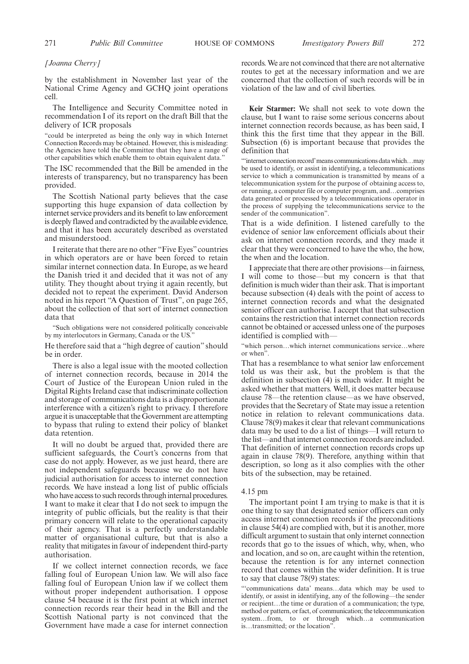#### *[Joanna Cherry]*

by the establishment in November last year of the National Crime Agency and GCHQ joint operations cell.

The Intelligence and Security Committee noted in recommendation I of its report on the draft Bill that the delivery of ICR proposals

"could be interpreted as being the only way in which Internet Connection Records may be obtained. However, this is misleading: the Agencies have told the Committee that they have a range of other capabilities which enable them to obtain equivalent data."

The ISC recommended that the Bill be amended in the interests of transparency, but no transparency has been provided.

The Scottish National party believes that the case supporting this huge expansion of data collection by internet service providers and its benefit to law enforcement is deeply flawed and contradicted by the available evidence, and that it has been accurately described as overstated and misunderstood.

I reiterate that there are no other "Five Eyes" countries in which operators are or have been forced to retain similar internet connection data. In Europe, as we heard the Danish tried it and decided that it was not of any utility. They thought about trying it again recently, but decided not to repeat the experiment. David Anderson noted in his report "A Question of Trust", on page 265, about the collection of that sort of internet connection data that

"Such obligations were not considered politically conceivable by my interlocutors in Germany, Canada or the US."

He therefore said that a "high degree of caution" should be in order.

There is also a legal issue with the mooted collection of internet connection records, because in 2014 the Court of Justice of the European Union ruled in the Digital Rights Ireland case that indiscriminate collection and storage of communications data is a disproportionate interference with a citizen's right to privacy. I therefore argue it is unacceptable that the Government are attempting to bypass that ruling to extend their policy of blanket data retention.

It will no doubt be argued that, provided there are sufficient safeguards, the Court's concerns from that case do not apply. However, as we just heard, there are not independent safeguards because we do not have judicial authorisation for access to internet connection records. We have instead a long list of public officials who have access to such records through internal procedures. I want to make it clear that I do not seek to impugn the integrity of public officials, but the reality is that their primary concern will relate to the operational capacity of their agency. That is a perfectly understandable matter of organisational culture, but that is also a reality that mitigates in favour of independent third-party authorisation.

If we collect internet connection records, we face falling foul of European Union law. We will also face falling foul of European Union law if we collect them without proper independent authorisation. I oppose clause 54 because it is the first point at which internet connection records rear their head in the Bill and the Scottish National party is not convinced that the Government have made a case for internet connection records.We are not convinced that there are not alternative routes to get at the necessary information and we are concerned that the collection of such records will be in violation of the law and of civil liberties.

**Keir Starmer:** We shall not seek to vote down the clause, but I want to raise some serious concerns about internet connection records because, as has been said, I think this the first time that they appear in the Bill. Subsection (6) is important because that provides the definition that

"'internet connection record'means communications data which…may be used to identify, or assist in identifying, a telecommunications service to which a communication is transmitted by means of a telecommunication system for the purpose of obtaining access to, or running, a computer file or computer program, and…comprises data generated or processed by a telecommunications operator in the process of supplying the telecommunications service to the sender of the communication".

That is a wide definition. I listened carefully to the evidence of senior law enforcement officials about their ask on internet connection records, and they made it clear that they were concerned to have the who, the how, the when and the location.

I appreciate that there are other provisions—in fairness, I will come to those—but my concern is that that definition is much wider than their ask. That is important because subsection (4) deals with the point of access to internet connection records and what the designated senior officer can authorise. I accept that that subsection contains the restriction that internet connection records cannot be obtained or accessed unless one of the purposes identified is complied with—

"which person…which internet communications service…where or when".

That has a resemblance to what senior law enforcement told us was their ask, but the problem is that the definition in subsection (4) is much wider. It might be asked whether that matters. Well, it does matter because clause 78—the retention clause—as we have observed, provides that the Secretary of State may issue a retention notice in relation to relevant communications data. Clause 78(9) makes it clear that relevant communications data may be used to do a list of things—I will return to the list—and that internet connection records are included. That definition of internet connection records crops up again in clause 78(9). Therefore, anything within that description, so long as it also complies with the other bits of the subsection, may be retained.

#### 4.15 pm

The important point I am trying to make is that it is one thing to say that designated senior officers can only access internet connection records if the preconditions in clause 54(4) are complied with, but it is another, more difficult argument to sustain that only internet connection records that go to the issues of which, why, when, who and location, and so on, are caught within the retention, because the retention is for any internet connection record that comes within the wider definition. It is true to say that clause 78(9) states:

"'communications data' means…data which may be used to identify, or assist in identifying, any of the following—the sender or recipient…the time or duration of a communication; the type, method or pattern, or fact, of communication; the telecommunication system…from, to or through which…a communication is…transmitted; or the location".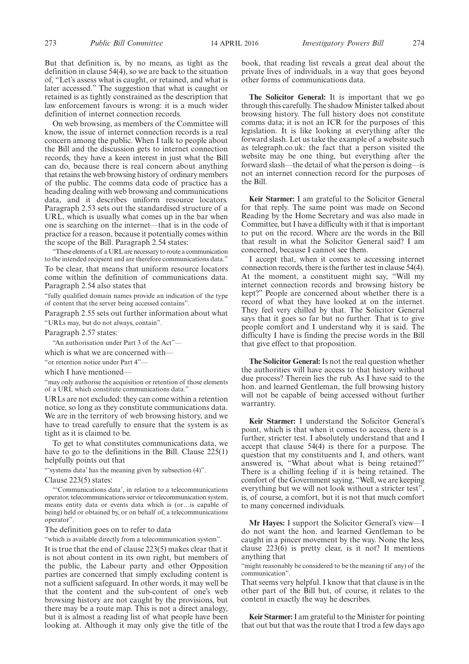But that definition is, by no means, as tight as the definition in clause 54(4), so we are back to the situation of, "Let's assess what is caught, or retained, and what is later accessed." The suggestion that what is caught or retained is as tightly constrained as the description that law enforcement favours is wrong: it is a much wider definition of internet connection records.

On web browsing, as members of the Committee will know, the issue of internet connection records is a real concern among the public. When I talk to people about the Bill and the discussion gets to internet connection records, they have a keen interest in just what the Bill can do, because there is real concern about anything that retains the web browsing history of ordinary members of the public. The comms data code of practice has a heading dealing with web browsing and communications data, and it describes uniform resource locators. Paragraph 2.53 sets out the standardised structure of a URL, which is usually what comes up in the bar when one is searching on the internet—that is in the code of practice for a reason, because it potentially comes within the scope of the Bill. Paragraph 2.54 states:

"These elements of a URL are necessary to route a communication to the intended recipient and are therefore communications data."

To be clear, that means that uniform resource locators come within the definition of communications data. Paragraph 2.54 also states that

"fully qualified domain names provide an indication of the type of content that the server being accessed contains".

Paragraph 2.55 sets out further information about what "URLs may, but do not always, contain".

Paragraph 2.57 states:

"An authorisation under Part 3 of the Act"—

which is what we are concerned with—

"or retention notice under Part 4"—

which I have mentioned-

"may only authorise the acquisition or retention of those elements of a URL which constitute communications data."

URLs are not excluded: they can come within a retention notice, so long as they constitute communications data. We are in the territory of web browsing history, and we have to tread carefully to ensure that the system is as tight as it is claimed to be.

To get to what constitutes communications data, we have to go to the definitions in the Bill. Clause 225(1) helpfully points out that

"'systems data' has the meaning given by subsection (4)".

#### Clause 223(5) states:

"'Communications data', in relation to a telecommunications operator, telecommunications service or telecommunication system, means entity data or events data which is (or…is capable of being) held or obtained by, or on behalf of, a telecommunications operator".

The definition goes on to refer to data

"which is available directly from a telecommunication system".

It is true that the end of clause 223(5) makes clear that it is not about content in its own right, but members of the public, the Labour party and other Opposition parties are concerned that simply excluding content is not a sufficient safeguard. In other words, it may well be that the content and the sub-content of one's web browsing history are not caught by the provisions, but there may be a route map. This is not a direct analogy, but it is almost a reading list of what people have been looking at. Although it may only give the title of the book, that reading list reveals a great deal about the private lives of individuals, in a way that goes beyond other forms of communications data.

**The Solicitor General:** It is important that we go through this carefully. The shadow Minister talked about browsing history. The full history does not constitute comms data; it is not an ICR for the purposes of this legislation. It is like looking at everything after the forward slash. Let us take the example of a website such as telegraph.co.uk: the fact that a person visited the website may be one thing, but everything after the forward slash—the detail of what the person is doing—is not an internet connection record for the purposes of the Bill.

**Keir Starmer:** I am grateful to the Solicitor General for that reply. The same point was made on Second Reading by the Home Secretary and was also made in Committee, but I have a difficulty with it that is important to put on the record. Where are the words in the Bill that result in what the Solicitor General said? I am concerned, because I cannot see them.

I accept that, when it comes to accessing internet connection records, there is the further test in clause 54(4). At the moment, a constituent might say, "Will my internet connection records and browsing history be kept?" People are concerned about whether there is a record of what they have looked at on the internet. They feel very chilled by that. The Solicitor General says that it goes so far but no further. That is to give people comfort and I understand why it is said. The difficulty I have is finding the precise words in the Bill that give effect to that proposition.

**The Solicitor General:** Is not the real question whether the authorities will have access to that history without due process? Therein lies the rub. As I have said to the hon. and learned Gentleman, the full browsing history will not be capable of being accessed without further warrantry.

**Keir Starmer:** I understand the Solicitor General's point, which is that when it comes to access, there is a further, stricter test. I absolutely understand that and I accept that clause 54(4) is there for a purpose. The question that my constituents and I, and others, want answered is, "What about what is being retained?" There is a chilling feeling if it is being retained. The comfort of the Government saying, "Well, we are keeping everything but we will not look without a stricter test", is, of course, a comfort, but it is not that much comfort to many concerned individuals.

**Mr Hayes:** I support the Solicitor General's view—I do not want the hon. and learned Gentleman to be caught in a pincer movement by the way. None the less, clause 223(6) is pretty clear, is it not? It mentions anything that

"might reasonably be considered to be the meaning (if any) of the communication".

That seems very helpful. I know that that clause is in the other part of the Bill but, of course, it relates to the content in exactly the way he describes.

**Keir Starmer:**I am grateful to the Minister for pointing that out but that was the route that I trod a few days ago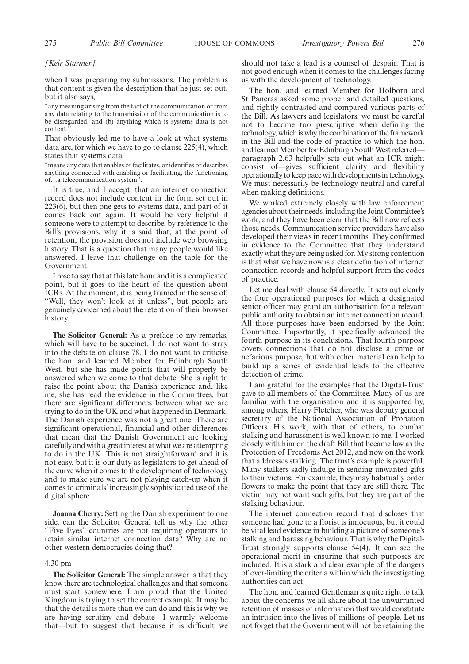#### *[Keir Starmer]*

when I was preparing my submissions. The problem is that content is given the description that he just set out, but it also says,

"any meaning arising from the fact of the communication or from any data relating to the transmission of the communication is to be disregarded, and (b) anything which is systems data is not content."

That obviously led me to have a look at what systems data are, for which we have to go to clause 225(4), which states that systems data

"means any data that enables or facilitates, or identifies or describes anything connected with enabling or facilitating, the functioning of…a telecommunication system".

It is true, and I accept, that an internet connection record does not include content in the form set out in 223(6), but then one gets to systems data, and part of it comes back out again. It would be very helpful if someone were to attempt to describe, by reference to the Bill's provisions, why it is said that, at the point of retention, the provision does not include web browsing history. That is a question that many people would like answered. I leave that challenge on the table for the Government.

I rose to say that at this late hour and it is a complicated point, but it goes to the heart of the question about ICRs. At the moment, it is being framed in the sense of, "Well, they won't look at it unless", but people are genuinely concerned about the retention of their browser history.

**The Solicitor General:** As a preface to my remarks, which will have to be succinct, I do not want to stray into the debate on clause 78. I do not want to criticise the hon. and learned Member for Edinburgh South West, but she has made points that will properly be answered when we come to that debate. She is right to raise the point about the Danish experience and, like me, she has read the evidence in the Committees, but there are significant differences between what we are trying to do in the UK and what happened in Denmark. The Danish experience was not a great one. There are significant operational, financial and other differences that mean that the Danish Government are looking carefully and with a great interest at what we are attempting to do in the UK. This is not straightforward and it is not easy, but it is our duty as legislators to get ahead of the curve when it comes to the development of technology and to make sure we are not playing catch-up when it comes to criminals' increasingly sophisticated use of the digital sphere.

**Joanna Cherry:** Setting the Danish experiment to one side, can the Solicitor General tell us why the other "Five Eyes" countries are not requiring operators to retain similar internet connection data? Why are no other western democracies doing that?

#### 4.30 pm

**The Solicitor General:** The simple answer is that they know there are technological challenges and that someone must start somewhere. I am proud that the United Kingdom is trying to set the correct example. It may be that the detail is more than we can do and this is why we are having scrutiny and debate—I warmly welcome that—but to suggest that because it is difficult we should not take a lead is a counsel of despair. That is not good enough when it comes to the challenges facing us with the development of technology.

The hon. and learned Member for Holborn and St Pancras asked some proper and detailed questions, and rightly contrasted and compared various parts of the Bill. As lawyers and legislators, we must be careful not to become too prescriptive when defining the technology, which is why the combination of the framework in the Bill and the code of practice to which the hon. and learned Member for Edinburgh South West referredparagraph 2.63 helpfully sets out what an ICR might consist of—gives sufficient clarity and flexibility operationally to keep pace with developments in technology. We must necessarily be technology neutral and careful when making definitions.

We worked extremely closely with law enforcement agencies about their needs, including the Joint Committee's work, and they have been clear that the Bill now reflects those needs. Communication service providers have also developed their views in recent months. They confirmed in evidence to the Committee that they understand exactly what they are being asked for.My strong contention is that what we have now is a clear definition of internet connection records and helpful support from the codes of practice.

Let me deal with clause 54 directly. It sets out clearly the four operational purposes for which a designated senior officer may grant an authorisation for a relevant public authority to obtain an internet connection record. All those purposes have been endorsed by the Joint Committee. Importantly, it specifically advanced the fourth purpose in its conclusions. That fourth purpose covers connections that do not disclose a crime or nefarious purpose, but with other material can help to build up a series of evidential leads to the effective detection of crime.

I am grateful for the examples that the Digital-Trust gave to all members of the Committee. Many of us are familiar with the organisation and it is supported by, among others, Harry Fletcher, who was deputy general secretary of the National Association of Probation Officers. His work, with that of others, to combat stalking and harassment is well known to me. I worked closely with him on the draft Bill that became law as the Protection of Freedoms Act 2012, and now on the work that addresses stalking. The trust's example is powerful. Many stalkers sadly indulge in sending unwanted gifts to their victims. For example, they may habitually order flowers to make the point that they are still there. The victim may not want such gifts, but they are part of the stalking behaviour.

The internet connection record that discloses that someone had gone to a florist is innocuous, but it could be vital lead evidence in building a picture of someone's stalking and harassing behaviour. That is why the Digital-Trust strongly supports clause 54(4). It can see the operational merit in ensuring that such purposes are included. It is a stark and clear example of the dangers of over-limiting the criteria within which the investigating authorities can act.

The hon. and learned Gentleman is quite right to talk about the concerns we all share about the unwarranted retention of masses of information that would constitute an intrusion into the lives of millions of people. Let us not forget that the Government will not be retaining the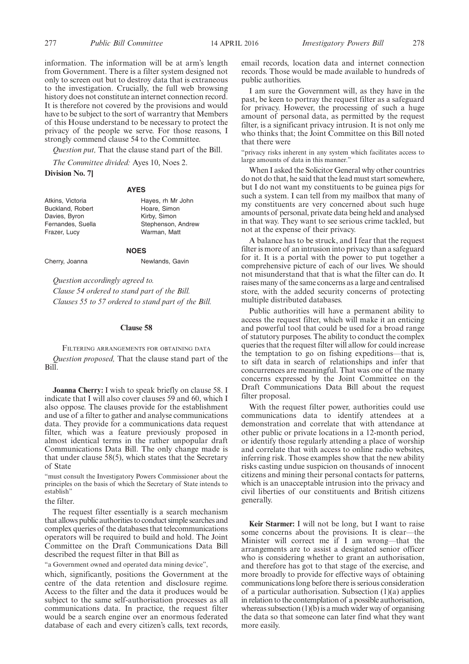information. The information will be at arm's length from Government. There is a filter system designed not only to screen out but to destroy data that is extraneous to the investigation. Crucially, the full web browsing history does not constitute an internet connection record. It is therefore not covered by the provisions and would have to be subject to the sort of warrantry that Members of this House understand to be necessary to protect the privacy of the people we serve. For those reasons, I strongly commend clause 54 to the Committee.

*Question put,* That the clause stand part of the Bill.

*The Committee divided:* Ayes 10, Noes 2.

**Division No. 7]**

#### **AYES**

| Atkins, Victoria        |  |
|-------------------------|--|
| <b>Buckland, Robert</b> |  |
| Davies, Byron           |  |
| Fernandes, Suella       |  |
| Frazer, Lucy            |  |
|                         |  |

Hayes, rh Mr John Hoare, Simon Kirby, Simon Stephenson, Andrew Warman, Matt

#### **NOES**

Cherry, Joanna Newlands, Gavin

*Question accordingly agreed to. Clause 54 ordered to stand part of the Bill. Clauses 55 to 57 ordered to stand part of the Bill.*

#### **Clause 58**

FILTERING ARRANGEMENTS FOR OBTAINING DATA *Question proposed,* That the clause stand part of the Bill.

**Joanna Cherry:** I wish to speak briefly on clause 58. I indicate that I will also cover clauses 59 and 60, which I also oppose. The clauses provide for the establishment and use of a filter to gather and analyse communications data. They provide for a communications data request filter, which was a feature previously proposed in almost identical terms in the rather unpopular draft Communications Data Bill. The only change made is that under clause 58(5), which states that the Secretary of State

"must consult the Investigatory Powers Commissioner about the principles on the basis of which the Secretary of State intends to establish"

the filter.

The request filter essentially is a search mechanism that allows public authorities to conduct simple searches and complex queries of the databases that telecommunications operators will be required to build and hold. The Joint Committee on the Draft Communications Data Bill described the request filter in that Bill as

"a Government owned and operated data mining device",

which, significantly, positions the Government at the centre of the data retention and disclosure regime. Access to the filter and the data it produces would be subject to the same self-authorisation processes as all communications data. In practice, the request filter would be a search engine over an enormous federated database of each and every citizen's calls, text records, email records, location data and internet connection records. Those would be made available to hundreds of public authorities.

I am sure the Government will, as they have in the past, be keen to portray the request filter as a safeguard for privacy. However, the processing of such a huge amount of personal data, as permitted by the request filter, is a significant privacy intrusion. It is not only me who thinks that; the Joint Committee on this Bill noted that there were

"privacy risks inherent in any system which facilitates access to large amounts of data in this manner."

When I asked the Solicitor General why other countries do not do that, he said that the lead must start somewhere, but I do not want my constituents to be guinea pigs for such a system. I can tell from my mailbox that many of my constituents are very concerned about such huge amounts of personal, private data being held and analysed in that way. They want to see serious crime tackled, but not at the expense of their privacy.

A balance has to be struck, and I fear that the request filter is more of an intrusion into privacy than a safeguard for it. It is a portal with the power to put together a comprehensive picture of each of our lives. We should not misunderstand that that is what the filter can do. It raises many of the same concerns as a large and centralised store, with the added security concerns of protecting multiple distributed databases.

Public authorities will have a permanent ability to access the request filter, which will make it an enticing and powerful tool that could be used for a broad range of statutory purposes. The ability to conduct the complex queries that the request filter will allow for could increase the temptation to go on fishing expeditions—that is, to sift data in search of relationships and infer that concurrences are meaningful. That was one of the many concerns expressed by the Joint Committee on the Draft Communications Data Bill about the request filter proposal.

With the request filter power, authorities could use communications data to identify attendees at a demonstration and correlate that with attendance at other public or private locations in a 12-month period, or identify those regularly attending a place of worship and correlate that with access to online radio websites, inferring risk. Those examples show that the new ability risks casting undue suspicion on thousands of innocent citizens and mining their personal contacts for patterns, which is an unacceptable intrusion into the privacy and civil liberties of our constituents and British citizens generally.

**Keir Starmer:** I will not be long, but I want to raise some concerns about the provisions. It is clear—the Minister will correct me if I am wrong—that the arrangements are to assist a designated senior officer who is considering whether to grant an authorisation, and therefore has got to that stage of the exercise, and more broadly to provide for effective ways of obtaining communications long before there is serious consideration of a particular authorisation. Subsection (1)(a) applies in relation to the contemplation of a possible authorisation, whereas subsection  $(1)(b)$  is a much wider way of organising the data so that someone can later find what they want more easily.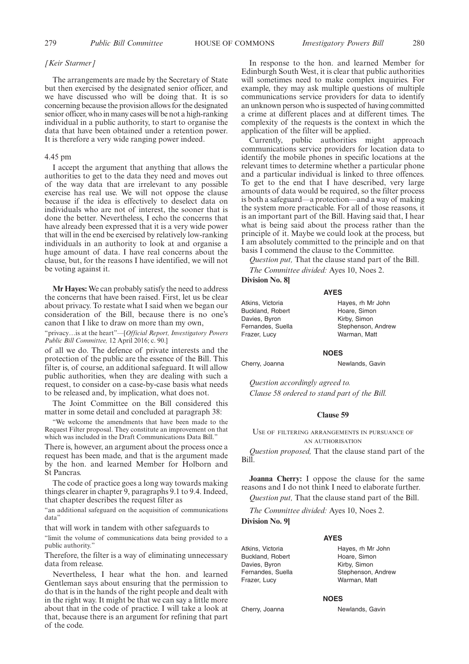#### *[Keir Starmer]*

The arrangements are made by the Secretary of State but then exercised by the designated senior officer, and we have discussed who will be doing that. It is so concerning because the provision allows for the designated senior officer, who in many cases will be not a high-ranking individual in a public authority, to start to organise the data that have been obtained under a retention power. It is therefore a very wide ranging power indeed.

#### 4.45 pm

I accept the argument that anything that allows the authorities to get to the data they need and moves out of the way data that are irrelevant to any possible exercise has real use. We will not oppose the clause because if the idea is effectively to deselect data on individuals who are not of interest, the sooner that is done the better. Nevertheless, I echo the concerns that have already been expressed that it is a very wide power that will in the end be exercised by relatively low-ranking individuals in an authority to look at and organise a huge amount of data. I have real concerns about the clause, but, for the reasons I have identified, we will not be voting against it.

**Mr Hayes:** We can probably satisfy the need to address the concerns that have been raised. First, let us be clear about privacy. To restate what I said when we began our consideration of the Bill, because there is no one's canon that I like to draw on more than my own,

"privacy…is at the heart"*––*[*Official Report, Investigatory Powers Public Bill Committee,* 12 April 2016; c. 90.]

of all we do. The defence of private interests and the protection of the public are the essence of the Bill. This filter is, of course, an additional safeguard. It will allow public authorities, when they are dealing with such a request, to consider on a case-by-case basis what needs to be released and, by implication, what does not.

The Joint Committee on the Bill considered this matter in some detail and concluded at paragraph 38:

"We welcome the amendments that have been made to the Request Filter proposal. They constitute an improvement on that which was included in the Draft Communications Data Bill."

There is, however, an argument about the process once a request has been made, and that is the argument made by the hon. and learned Member for Holborn and St Pancras.

The code of practice goes a long way towards making things clearer in chapter 9, paragraphs 9.1 to 9.4. Indeed, that chapter describes the request filter as

"an additional safeguard on the acquisition of communications data"

that will work in tandem with other safeguards to

"limit the volume of communications data being provided to a public authority.'

Therefore, the filter is a way of eliminating unnecessary data from release.

Nevertheless, I hear what the hon. and learned Gentleman says about ensuring that the permission to do that is in the hands of the right people and dealt with in the right way. It might be that we can say a little more about that in the code of practice. I will take a look at that, because there is an argument for refining that part of the code.

In response to the hon. and learned Member for Edinburgh South West, it is clear that public authorities will sometimes need to make complex inquiries. For example, they may ask multiple questions of multiple communications service providers for data to identify an unknown person who is suspected of having committed a crime at different places and at different times. The complexity of the requests is the context in which the application of the filter will be applied.

Currently, public authorities might approach communications service providers for location data to identify the mobile phones in specific locations at the relevant times to determine whether a particular phone and a particular individual is linked to three offences. To get to the end that I have described, very large amounts of data would be required, so the filter process is both a safeguard—a protection—and a way of making the system more practicable. For all of those reasons, it is an important part of the Bill. Having said that, I hear what is being said about the process rather than the principle of it. Maybe we could look at the process, but I am absolutely committed to the principle and on that basis I commend the clause to the Committee.

*Question put,* That the clause stand part of the Bill.

**AYES**

*The Committee divided:* Ayes 10, Noes 2.

## **Division No. 8]**

Atkins, Victoria Buckland, Robert Davies, Byron Fernandes, Suella Frazer, Lucy

Hayes, rh Mr John Hoare, Simon Kirby, Simon Stephenson, Andrew Warman, Matt

#### **NOES**

Cherry, Joanna Newlands, Gavin

*Question accordingly agreed to. Clause 58 ordered to stand part of the Bill.*

#### **Clause 59**

#### USE OF FILTERING ARRANGEMENTS IN PURSUANCE OF AN AUTHORISATION

*Question proposed,* That the clause stand part of the Bill.

**Joanna Cherry:** I oppose the clause for the same reasons and I do not think I need to elaborate further.

*Question put,* That the clause stand part of the Bill.

*The Committee divided:* Ayes 10, Noes 2.

**Division No. 9]**

#### **AYES**

Atkins, Victoria Buckland, Robert Davies, Byron Fernandes, Suella Frazer, Lucy

Hayes, rh Mr John Hoare, Simon Kirby, Simon Stephenson, Andrew Warman, Matt

#### **NOES**

Cherry, Joanna Newlands, Gavin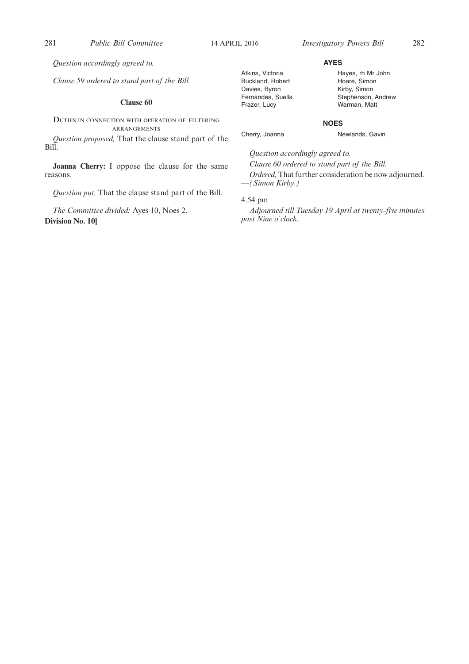*Question accordingly agreed to.*

*Clause 59 ordered to stand part of the Bill.*

#### **Clause 60**

DUTIES IN CONNECTION WITH OPERATION OF FILTERING ARRANGEMENTS

*Question proposed,* That the clause stand part of the Bill.

**Joanna Cherry:** I oppose the clause for the same reasons.

*Question put,* That the clause stand part of the Bill.

*The Committee divided:* Ayes 10, Noes 2. **Division No. 10]**

#### Atkins, Victoria Buckland, Robert Davies, Byron Fernandes, Suella Frazer, Lucy

Hayes, rh Mr John Hoare, Simon Kirby, Simon Stephenson, Andrew Warman, Matt

#### **NOES**

**AYES**

Cherry, Joanna Newlands, Gavin

*Question accordingly agreed to.*

*Clause 60 ordered to stand part of the Bill. Ordered,* That further consideration be now adjourned. *—(Simon Kirby.)*

### 4.54 pm

*Adjourned till Tuesday 19 April at twenty-five minutes past Nine o'clock.*